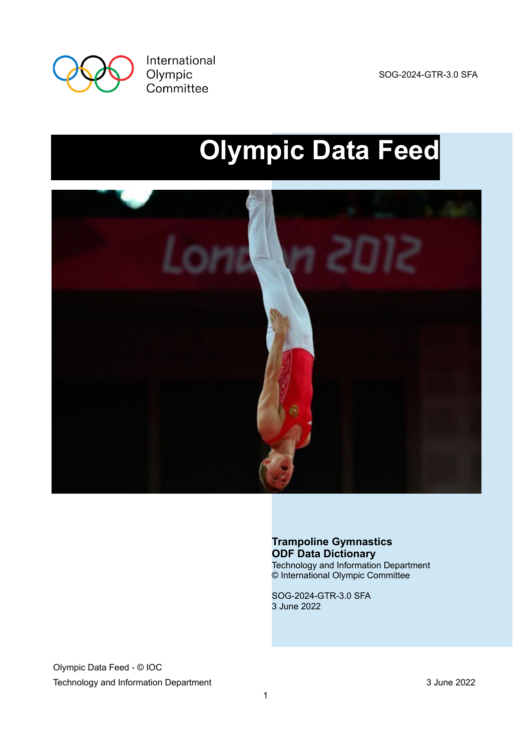

# **Olympic Data Feed**



### **Trampoline Gymnastics ODF Data Dictionary**

Technology and Information Department © International Olympic Committee

SOG-2024-GTR-3.0 SFA 3 June 2022

Olympic Data Feed - © IOC Technology and Information Department 3 June 2022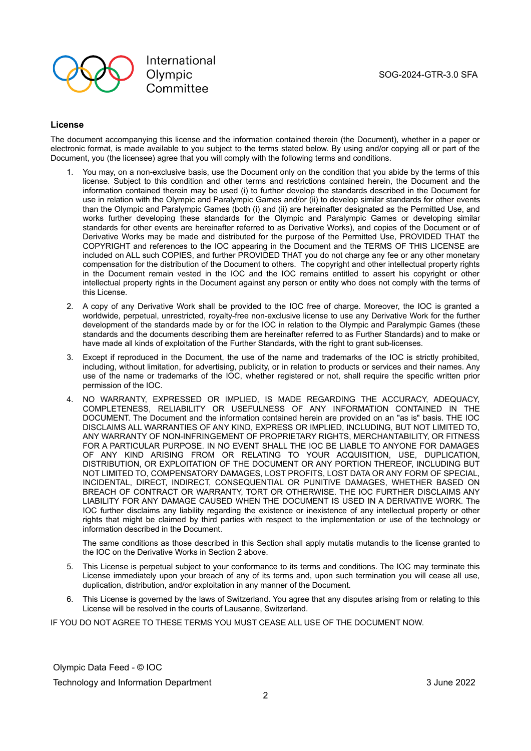

#### **License**

The document accompanying this license and the information contained therein (the Document), whether in a paper or electronic format, is made available to you subject to the terms stated below. By using and/or copying all or part of the Document, you (the licensee) agree that you will comply with the following terms and conditions.

- 1. You may, on a non-exclusive basis, use the Document only on the condition that you abide by the terms of this license. Subject to this condition and other terms and restrictions contained herein, the Document and the information contained therein may be used (i) to further develop the standards described in the Document for use in relation with the Olympic and Paralympic Games and/or (ii) to develop similar standards for other events than the Olympic and Paralympic Games (both (i) and (ii) are hereinafter designated as the Permitted Use, and works further developing these standards for the Olympic and Paralympic Games or developing similar standards for other events are hereinafter referred to as Derivative Works), and copies of the Document or of Derivative Works may be made and distributed for the purpose of the Permitted Use, PROVIDED THAT the COPYRIGHT and references to the IOC appearing in the Document and the TERMS OF THIS LICENSE are included on ALL such COPIES, and further PROVIDED THAT you do not charge any fee or any other monetary compensation for the distribution of the Document to others. The copyright and other intellectual property rights in the Document remain vested in the IOC and the IOC remains entitled to assert his copyright or other intellectual property rights in the Document against any person or entity who does not comply with the terms of this License.
- 2. A copy of any Derivative Work shall be provided to the IOC free of charge. Moreover, the IOC is granted a worldwide, perpetual, unrestricted, royalty-free non-exclusive license to use any Derivative Work for the further development of the standards made by or for the IOC in relation to the Olympic and Paralympic Games (these standards and the documents describing them are hereinafter referred to as Further Standards) and to make or have made all kinds of exploitation of the Further Standards, with the right to grant sub-licenses.
- 3. Except if reproduced in the Document, the use of the name and trademarks of the IOC is strictly prohibited, including, without limitation, for advertising, publicity, or in relation to products or services and their names. Any use of the name or trademarks of the IOC, whether registered or not, shall require the specific written prior permission of the IOC.
- 4. NO WARRANTY, EXPRESSED OR IMPLIED, IS MADE REGARDING THE ACCURACY, ADEQUACY, COMPLETENESS, RELIABILITY OR USEFULNESS OF ANY INFORMATION CONTAINED IN THE DOCUMENT. The Document and the information contained herein are provided on an "as is" basis. THE IOC DISCLAIMS ALL WARRANTIES OF ANY KIND, EXPRESS OR IMPLIED, INCLUDING, BUT NOT LIMITED TO, ANY WARRANTY OF NON-INFRINGEMENT OF PROPRIETARY RIGHTS, MERCHANTABILITY, OR FITNESS FOR A PARTICULAR PURPOSE. IN NO EVENT SHALL THE IOC BE LIABLE TO ANYONE FOR DAMAGES OF ANY KIND ARISING FROM OR RELATING TO YOUR ACQUISITION, USE, DUPLICATION, DISTRIBUTION, OR EXPLOITATION OF THE DOCUMENT OR ANY PORTION THEREOF, INCLUDING BUT NOT LIMITED TO, COMPENSATORY DAMAGES, LOST PROFITS, LOST DATA OR ANY FORM OF SPECIAL, INCIDENTAL, DIRECT, INDIRECT, CONSEQUENTIAL OR PUNITIVE DAMAGES, WHETHER BASED ON BREACH OF CONTRACT OR WARRANTY, TORT OR OTHERWISE. THE IOC FURTHER DISCLAIMS ANY LIABILITY FOR ANY DAMAGE CAUSED WHEN THE DOCUMENT IS USED IN A DERIVATIVE WORK. The IOC further disclaims any liability regarding the existence or inexistence of any intellectual property or other rights that might be claimed by third parties with respect to the implementation or use of the technology or information described in the Document.

The same conditions as those described in this Section shall apply mutatis mutandis to the license granted to the IOC on the Derivative Works in Section 2 above.

- 5. This License is perpetual subject to your conformance to its terms and conditions. The IOC may terminate this License immediately upon your breach of any of its terms and, upon such termination you will cease all use, duplication, distribution, and/or exploitation in any manner of the Document.
- 6. This License is governed by the laws of Switzerland. You agree that any disputes arising from or relating to this License will be resolved in the courts of Lausanne, Switzerland.

IF YOU DO NOT AGREE TO THESE TERMS YOU MUST CEASE ALL USE OF THE DOCUMENT NOW.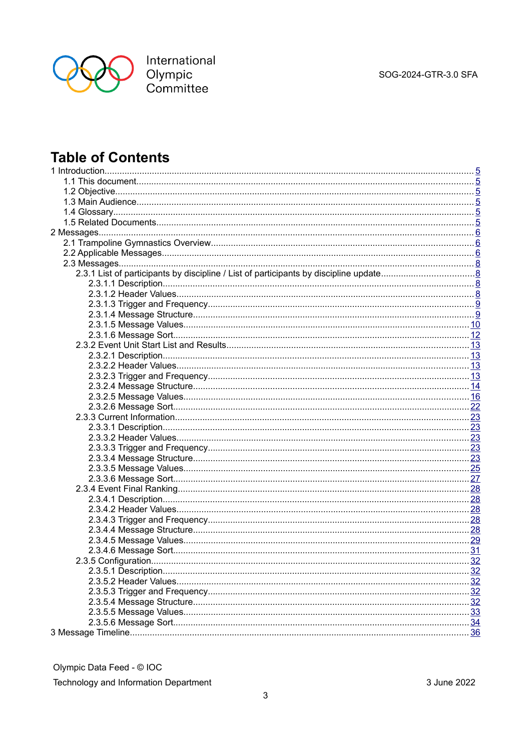

# **Table of Contents**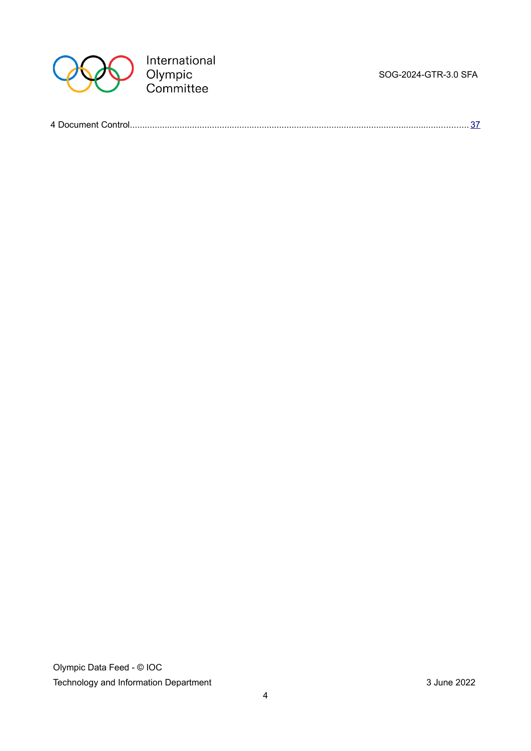

|--|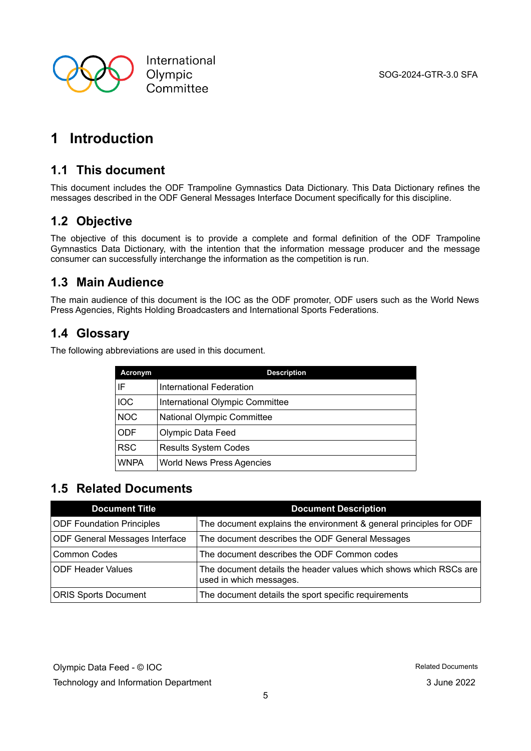

# <span id="page-4-5"></span>**1 Introduction**

## <span id="page-4-4"></span>**1.1 This document**

This document includes the ODF Trampoline Gymnastics Data Dictionary. This Data Dictionary refines the messages described in the ODF General Messages Interface Document specifically for this discipline.

## <span id="page-4-3"></span>**1.2 Objective**

The objective of this document is to provide a complete and formal definition of the ODF Trampoline Gymnastics Data Dictionary, with the intention that the information message producer and the message consumer can successfully interchange the information as the competition is run.

## <span id="page-4-2"></span>**1.3 Main Audience**

The main audience of this document is the IOC as the ODF promoter, ODF users such as the World News Press Agencies, Rights Holding Broadcasters and International Sports Federations.

## <span id="page-4-1"></span>**1.4 Glossary**

The following abbreviations are used in this document.

| Acronym     | <b>Description</b>                |  |  |
|-------------|-----------------------------------|--|--|
| IF          | International Federation          |  |  |
| <b>IOC</b>  | International Olympic Committee   |  |  |
| <b>NOC</b>  | <b>National Olympic Committee</b> |  |  |
| ODE         | Olympic Data Feed                 |  |  |
| <b>RSC</b>  | <b>Results System Codes</b>       |  |  |
| <b>WNPA</b> | <b>World News Press Agencies</b>  |  |  |

## <span id="page-4-0"></span>**1.5 Related Documents**

| <b>Document Title</b>                 | <b>Document Description</b>                                                                  |
|---------------------------------------|----------------------------------------------------------------------------------------------|
| <b>ODF Foundation Principles</b>      | The document explains the environment & general principles for ODF                           |
| <b>ODF General Messages Interface</b> | The document describes the ODF General Messages                                              |
| <b>Common Codes</b>                   | The document describes the ODF Common codes                                                  |
| <b>ODF Header Values</b>              | The document details the header values which shows which RSCs are<br>used in which messages. |
| <b>ORIS Sports Document</b>           | The document details the sport specific requirements                                         |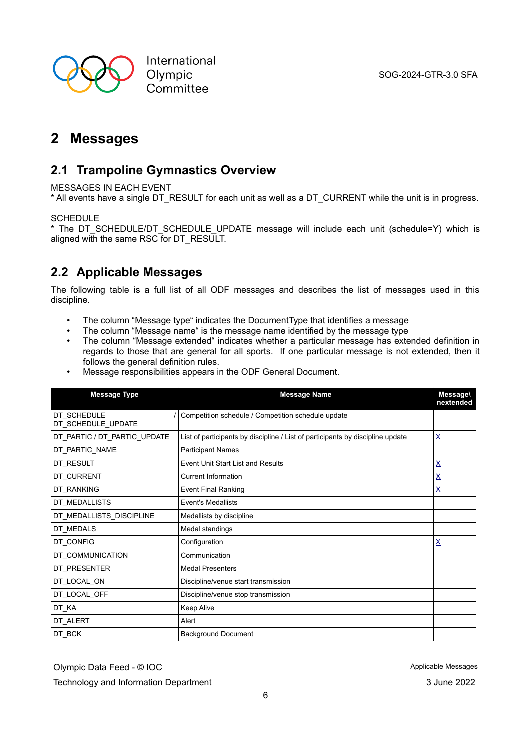



## <span id="page-5-2"></span>**2 Messages**

## <span id="page-5-1"></span>**2.1 Trampoline Gymnastics Overview**

#### MESSAGES IN EACH EVENT

\* All events have a single DT\_RESULT for each unit as well as a DT\_CURRENT while the unit is in progress.

#### **SCHEDULE**

\* The DT\_SCHEDULE/DT\_SCHEDULE\_UPDATE message will include each unit (schedule=Y) which is aligned with the same RSC for DT\_RESULT.

## <span id="page-5-0"></span>**2.2 Applicable Messages**

The following table is a full list of all ODF messages and describes the list of messages used in this discipline.

- The column "Message type" indicates the DocumentType that identifies a message
- The column "Message name" is the message name identified by the message type
- The column "Message extended" indicates whether a particular message has extended definition in regards to those that are general for all sports. If one particular message is not extended, then it follows the general definition rules.

| <b>Message Type</b>               | <b>Message Name</b>                                                            | Message\<br>nextended    |
|-----------------------------------|--------------------------------------------------------------------------------|--------------------------|
| DT_SCHEDULE<br>DT_SCHEDULE_UPDATE | Competition schedule / Competition schedule update                             |                          |
| DT_PARTIC / DT_PARTIC_UPDATE      | List of participants by discipline / List of participants by discipline update | X                        |
| DT_PARTIC_NAME                    | <b>Participant Names</b>                                                       |                          |
| DT_RESULT                         | <b>Event Unit Start List and Results</b>                                       | $\underline{\mathsf{X}}$ |
| DT_CURRENT                        | <b>Current Information</b>                                                     | $\overline{\mathsf{x}}$  |
| DT RANKING                        | <b>Event Final Ranking</b>                                                     | $\overline{\mathsf{X}}$  |
| DT_MEDALLISTS                     | <b>Event's Medallists</b>                                                      |                          |
| DT_MEDALLISTS_DISCIPLINE          | Medallists by discipline                                                       |                          |
| DT_MEDALS                         | Medal standings                                                                |                          |
| DT_CONFIG                         | Configuration                                                                  | $\underline{X}$          |
| DT_COMMUNICATION                  | Communication                                                                  |                          |
| DT_PRESENTER                      | <b>Medal Presenters</b>                                                        |                          |
| DT_LOCAL_ON                       | Discipline/venue start transmission                                            |                          |
| DT_LOCAL_OFF                      | Discipline/venue stop transmission                                             |                          |
| DT_KA                             | <b>Keep Alive</b>                                                              |                          |
| DT_ALERT                          | Alert                                                                          |                          |
| DT_BCK                            | <b>Background Document</b>                                                     |                          |
|                                   |                                                                                |                          |

• Message responsibilities appears in the ODF General Document.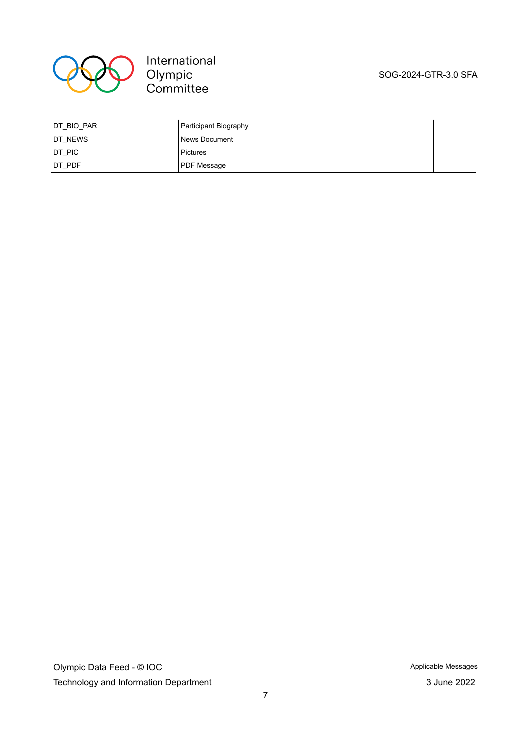

| DT BIO PAR | Participant Biography |  |
|------------|-----------------------|--|
| DT NEWS    | News Document         |  |
| DT PIC     | Pictures              |  |
| DT PDF     | PDF Message           |  |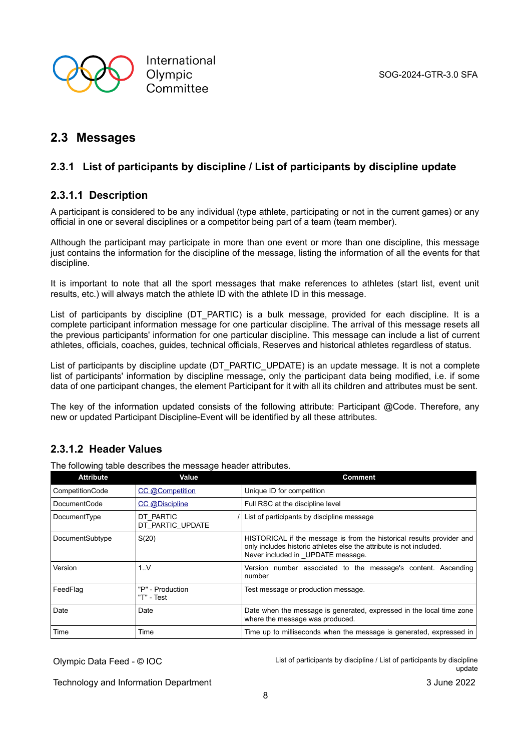

## <span id="page-7-3"></span>**2.3 Messages**

## <span id="page-7-2"></span>**2.3.1 List of participants by discipline / List of participants by discipline update**

#### <span id="page-7-1"></span>**2.3.1.1 Description**

A participant is considered to be any individual (type athlete, participating or not in the current games) or any official in one or several disciplines or a competitor being part of a team (team member).

Although the participant may participate in more than one event or more than one discipline, this message just contains the information for the discipline of the message, listing the information of all the events for that discipline.

It is important to note that all the sport messages that make references to athletes (start list, event unit results, etc.) will always match the athlete ID with the athlete ID in this message.

List of participants by discipline (DT\_PARTIC) is a bulk message, provided for each discipline. It is a complete participant information message for one particular discipline. The arrival of this message resets all the previous participants' information for one particular discipline. This message can include a list of current athletes, officials, coaches, guides, technical officials, Reserves and historical athletes regardless of status.

List of participants by discipline update (DT\_PARTIC\_UPDATE) is an update message. It is not a complete list of participants' information by discipline message, only the participant data being modified, i.e. if some data of one participant changes, the element Participant for it with all its children and attributes must be sent.

The key of the information updated consists of the following attribute: Participant @Code. Therefore, any new or updated Participant Discipline-Event will be identified by all these attributes.

## <span id="page-7-0"></span>**2.3.1.2 Header Values**

The following table describes the message header attributes.

| <b>Attribute</b> | Value                          | <b>Comment</b>                                                                                                                                                                     |  |  |
|------------------|--------------------------------|------------------------------------------------------------------------------------------------------------------------------------------------------------------------------------|--|--|
| CompetitionCode  | CC @Competition                | Unique ID for competition                                                                                                                                                          |  |  |
| DocumentCode     | CC @Discipline                 | Full RSC at the discipline level                                                                                                                                                   |  |  |
| DocumentType     | DT PARTIC<br>DT PARTIC UPDATE  | List of participants by discipline message                                                                                                                                         |  |  |
| DocumentSubtype  | S(20)                          | HISTORICAL if the message is from the historical results provider and<br>only includes historic athletes else the attribute is not included.<br>Never included in _UPDATE message. |  |  |
| Version          | 1.1V                           | Version number associated to the message's content. Ascending<br>number                                                                                                            |  |  |
| FeedFlag         | "P" - Production<br>"T" - Test | Test message or production message.                                                                                                                                                |  |  |
| Date             | Date                           | Date when the message is generated, expressed in the local time zone<br>where the message was produced.                                                                            |  |  |
| Time             | Time                           | Time up to milliseconds when the message is generated, expressed in                                                                                                                |  |  |

Olympic Data Feed - © IOC List of participants by discipline / List of participants by discipline update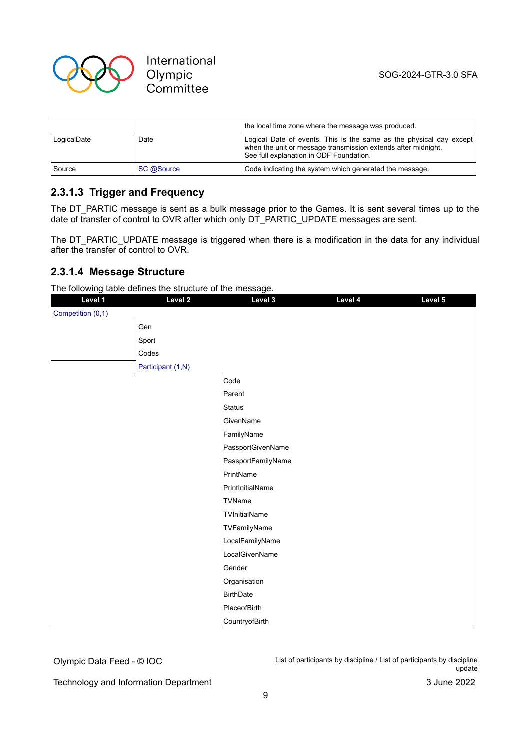

|             |            | the local time zone where the message was produced.                                                                                                                             |
|-------------|------------|---------------------------------------------------------------------------------------------------------------------------------------------------------------------------------|
| LogicalDate | Date       | Logical Date of events. This is the same as the physical day except<br>when the unit or message transmission extends after midnight.<br>See full explanation in ODF Foundation. |
| Source      | SC @Source | Code indicating the system which generated the message.                                                                                                                         |

## <span id="page-8-1"></span>**2.3.1.3 Trigger and Frequency**

The DT\_PARTIC message is sent as a bulk message prior to the Games. It is sent several times up to the date of transfer of control to OVR after which only DT\_PARTIC\_UPDATE messages are sent.

The DT\_PARTIC\_UPDATE message is triggered when there is a modification in the data for any individual after the transfer of control to OVR.

#### <span id="page-8-0"></span>**2.3.1.4 Message Structure**

The following table defines the structure of the message.

| Level 1           | Level 2           | Level 3            | Level 4 | Level 5 |
|-------------------|-------------------|--------------------|---------|---------|
| Competition (0,1) |                   |                    |         |         |
|                   | Gen               |                    |         |         |
|                   | Sport             |                    |         |         |
|                   | Codes             |                    |         |         |
|                   | Participant (1,N) |                    |         |         |
|                   |                   | Code               |         |         |
|                   |                   | Parent             |         |         |
|                   |                   | Status             |         |         |
|                   |                   | GivenName          |         |         |
|                   |                   | FamilyName         |         |         |
|                   |                   | PassportGivenName  |         |         |
|                   |                   | PassportFamilyName |         |         |
|                   |                   | PrintName          |         |         |
|                   |                   | PrintlnitialName   |         |         |
|                   |                   | TVName             |         |         |
|                   |                   | TVInitialName      |         |         |
|                   |                   | TVFamilyName       |         |         |
|                   |                   | LocalFamilyName    |         |         |
|                   |                   | LocalGivenName     |         |         |
|                   |                   | Gender             |         |         |
|                   |                   | Organisation       |         |         |
|                   |                   | <b>BirthDate</b>   |         |         |
|                   |                   | PlaceofBirth       |         |         |
|                   |                   | CountryofBirth     |         |         |

Olympic Data Feed - © IOC **List of participants by discipline** / List of participants by discipline update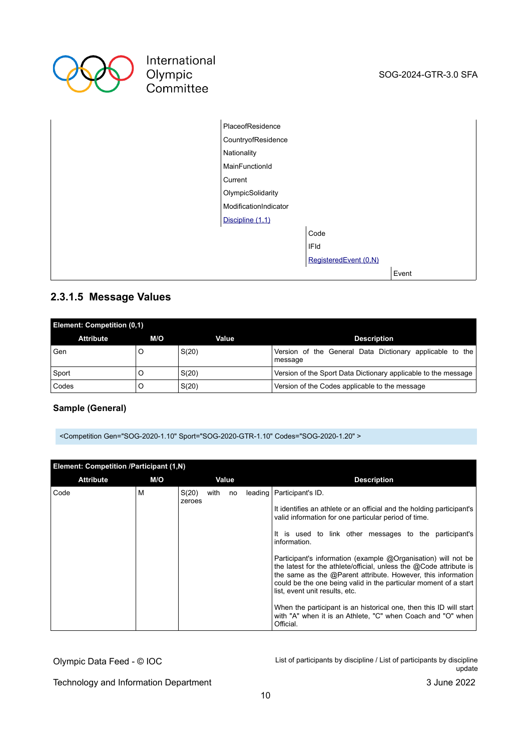| International<br>Olympic<br>Committee |                       |                       | SOG-2024-GTR-3.0 SFA |  |
|---------------------------------------|-----------------------|-----------------------|----------------------|--|
|                                       | PlaceofResidence      |                       |                      |  |
|                                       | CountryofResidence    |                       |                      |  |
|                                       | Nationality           |                       |                      |  |
|                                       | MainFunctionId        |                       |                      |  |
|                                       | Current               |                       |                      |  |
|                                       | OlympicSolidarity     |                       |                      |  |
|                                       | ModificationIndicator |                       |                      |  |
|                                       | Discipline (1,1)      |                       |                      |  |
|                                       |                       | Code                  |                      |  |
|                                       |                       | <b>IFId</b>           |                      |  |
|                                       |                       | RegisteredEvent (0,N) |                      |  |

## <span id="page-9-0"></span>**2.3.1.5 Message Values**

<span id="page-9-2"></span>

| <b>Element: Competition (0,1)</b> |     |       |                                                                     |  |
|-----------------------------------|-----|-------|---------------------------------------------------------------------|--|
| <b>Attribute</b>                  | M/O | Value | <b>Description</b>                                                  |  |
| Gen                               |     | S(20) | Version of the General Data Dictionary applicable to the<br>message |  |
| Sport                             |     | S(20) | Version of the Sport Data Dictionary applicable to the message      |  |
| Codes                             |     | S(20) | Version of the Codes applicable to the message                      |  |

#### **Sample (General)**

<Competition Gen="SOG-2020-1.10" Sport="SOG-2020-GTR-1.10" Codes="SOG-2020-1.20" >

<span id="page-9-1"></span>

| Element: Competition /Participant (1,N) |     |                               |         |                                                                                                                                                                                                                                                                                                                                                                                                                                                                                                                                                                                                                                                                                             |
|-----------------------------------------|-----|-------------------------------|---------|---------------------------------------------------------------------------------------------------------------------------------------------------------------------------------------------------------------------------------------------------------------------------------------------------------------------------------------------------------------------------------------------------------------------------------------------------------------------------------------------------------------------------------------------------------------------------------------------------------------------------------------------------------------------------------------------|
| <b>Attribute</b>                        | M/O | Value                         |         | <b>Description</b>                                                                                                                                                                                                                                                                                                                                                                                                                                                                                                                                                                                                                                                                          |
| Code                                    | м   | S(20)<br>with<br>no<br>zeroes | leading | Participant's ID.<br>It identifies an athlete or an official and the holding participant's<br>valid information for one particular period of time.<br>It is used to link other messages to the participant's<br>information.<br>Participant's information (example @Organisation) will not be<br>the latest for the athlete/official, unless the @Code attribute is<br>the same as the @Parent attribute. However, this information<br>could be the one being valid in the particular moment of a start<br>list, event unit results, etc.<br>When the participant is an historical one, then this ID will start<br>with "A" when it is an Athlete, "C" when Coach and "O" when<br>Official. |

Olympic Data Feed - © IOC List of participants by discipline / List of participants by discipline update

Event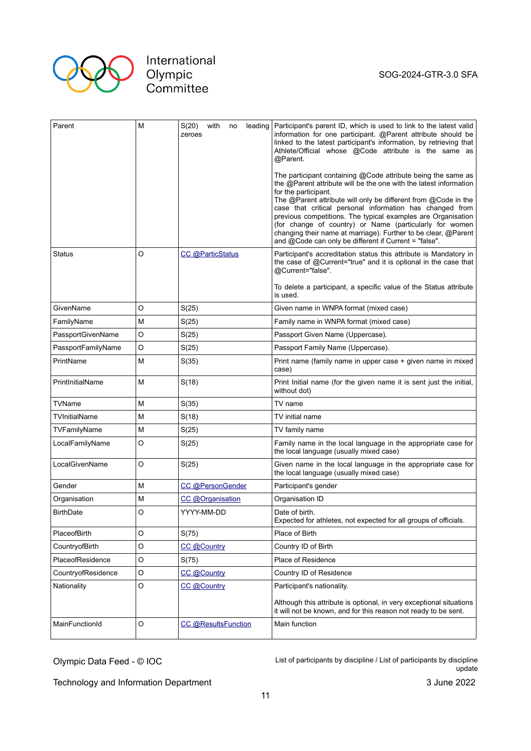

| Parent             | М | S(20)<br>with<br>no<br>zeroes | leading Participant's parent ID, which is used to link to the latest valid<br>information for one participant. @Parent attribute should be<br>linked to the latest participant's information, by retrieving that<br>Athlete/Official whose @Code attribute is the same as<br>@Parent.<br>The participant containing @Code attribute being the same as<br>the @Parent attribute will be the one with the latest information<br>for the participant.<br>The @Parent attribute will only be different from @Code in the<br>case that critical personal information has changed from<br>previous competitions. The typical examples are Organisation<br>(for change of country) or Name (particularly for women<br>changing their name at marriage). Further to be clear, @Parent<br>and @Code can only be different if Current = "false". |
|--------------------|---|-------------------------------|----------------------------------------------------------------------------------------------------------------------------------------------------------------------------------------------------------------------------------------------------------------------------------------------------------------------------------------------------------------------------------------------------------------------------------------------------------------------------------------------------------------------------------------------------------------------------------------------------------------------------------------------------------------------------------------------------------------------------------------------------------------------------------------------------------------------------------------|
| Status             | O | CC @ParticStatus              | Participant's accreditation status this attribute is Mandatory in<br>the case of @Current="true" and it is optional in the case that<br>@Current="false".<br>To delete a participant, a specific value of the Status attribute<br>is used.                                                                                                                                                                                                                                                                                                                                                                                                                                                                                                                                                                                             |
| GivenName          | O | S(25)                         | Given name in WNPA format (mixed case)                                                                                                                                                                                                                                                                                                                                                                                                                                                                                                                                                                                                                                                                                                                                                                                                 |
| FamilyName         | М | S(25)                         | Family name in WNPA format (mixed case)                                                                                                                                                                                                                                                                                                                                                                                                                                                                                                                                                                                                                                                                                                                                                                                                |
| PassportGivenName  | O | S(25)                         | Passport Given Name (Uppercase).                                                                                                                                                                                                                                                                                                                                                                                                                                                                                                                                                                                                                                                                                                                                                                                                       |
| PassportFamilyName | O | S(25)                         | Passport Family Name (Uppercase).                                                                                                                                                                                                                                                                                                                                                                                                                                                                                                                                                                                                                                                                                                                                                                                                      |
| PrintName          | М | S(35)                         | Print name (family name in upper case + given name in mixed<br>case)                                                                                                                                                                                                                                                                                                                                                                                                                                                                                                                                                                                                                                                                                                                                                                   |
| PrintlnitialName   | М | S(18)                         | Print Initial name (for the given name it is sent just the initial,<br>without dot)                                                                                                                                                                                                                                                                                                                                                                                                                                                                                                                                                                                                                                                                                                                                                    |
| TVName             | М | S(35)                         | TV name                                                                                                                                                                                                                                                                                                                                                                                                                                                                                                                                                                                                                                                                                                                                                                                                                                |
| TVInitialName      | М | S(18)                         | TV initial name                                                                                                                                                                                                                                                                                                                                                                                                                                                                                                                                                                                                                                                                                                                                                                                                                        |
| TVFamilyName       | М | S(25)                         | TV family name                                                                                                                                                                                                                                                                                                                                                                                                                                                                                                                                                                                                                                                                                                                                                                                                                         |
| LocalFamilyName    | O | S(25)                         | Family name in the local language in the appropriate case for<br>the local language (usually mixed case)                                                                                                                                                                                                                                                                                                                                                                                                                                                                                                                                                                                                                                                                                                                               |
| LocalGivenName     | O | S(25)                         | Given name in the local language in the appropriate case for<br>the local language (usually mixed case)                                                                                                                                                                                                                                                                                                                                                                                                                                                                                                                                                                                                                                                                                                                                |
| Gender             | М | CC @PersonGender              | Participant's gender                                                                                                                                                                                                                                                                                                                                                                                                                                                                                                                                                                                                                                                                                                                                                                                                                   |
| Organisation       | М | CC @Organisation              | Organisation ID                                                                                                                                                                                                                                                                                                                                                                                                                                                                                                                                                                                                                                                                                                                                                                                                                        |
| <b>BirthDate</b>   | O | YYYY-MM-DD                    | Date of birth.<br>Expected for athletes, not expected for all groups of officials.                                                                                                                                                                                                                                                                                                                                                                                                                                                                                                                                                                                                                                                                                                                                                     |
| PlaceofBirth       | O | S(75)                         | Place of Birth                                                                                                                                                                                                                                                                                                                                                                                                                                                                                                                                                                                                                                                                                                                                                                                                                         |
| CountryofBirth     | O | CC @Country                   | Country ID of Birth                                                                                                                                                                                                                                                                                                                                                                                                                                                                                                                                                                                                                                                                                                                                                                                                                    |
| PlaceofResidence   | O | S(75)                         | Place of Residence                                                                                                                                                                                                                                                                                                                                                                                                                                                                                                                                                                                                                                                                                                                                                                                                                     |
| CountryofResidence | O | CC @Country                   | Country ID of Residence                                                                                                                                                                                                                                                                                                                                                                                                                                                                                                                                                                                                                                                                                                                                                                                                                |
| Nationality        | O | CC @Country                   | Participant's nationality.                                                                                                                                                                                                                                                                                                                                                                                                                                                                                                                                                                                                                                                                                                                                                                                                             |
|                    |   |                               | Although this attribute is optional, in very exceptional situations<br>it will not be known, and for this reason not ready to be sent.                                                                                                                                                                                                                                                                                                                                                                                                                                                                                                                                                                                                                                                                                                 |
| MainFunctionId     | O | CC @ResultsFunction           | Main function                                                                                                                                                                                                                                                                                                                                                                                                                                                                                                                                                                                                                                                                                                                                                                                                                          |

Olympic Data Feed - © IOC List of participants by discipline / List of participants by discipline update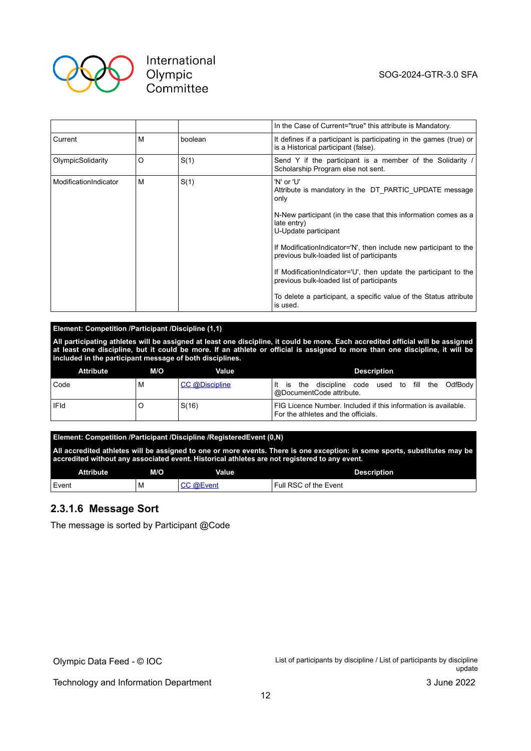

|                       |   |         | In the Case of Current="true" this attribute is Mandatory.                                                                                                                                                                                                                                                                                                                                                                                                                                                   |
|-----------------------|---|---------|--------------------------------------------------------------------------------------------------------------------------------------------------------------------------------------------------------------------------------------------------------------------------------------------------------------------------------------------------------------------------------------------------------------------------------------------------------------------------------------------------------------|
| Current               | м | boolean | It defines if a participant is participating in the games (true) or<br>is a Historical participant (false).                                                                                                                                                                                                                                                                                                                                                                                                  |
| OlympicSolidarity     | O | S(1)    | Send Y if the participant is a member of the Solidarity /<br>Scholarship Program else not sent.                                                                                                                                                                                                                                                                                                                                                                                                              |
| ModificationIndicator | м | S(1)    | 'N' or 'U'<br>Attribute is mandatory in the DT PARTIC UPDATE message<br>only<br>N-New participant (in the case that this information comes as a<br>late entry)<br>U-Update participant<br>If Modification Indicator='N', then include new participant to the<br>previous bulk-loaded list of participants<br>If Modification Indicator='U', then update the participant to the<br>previous bulk-loaded list of participants<br>To delete a participant, a specific value of the Status attribute<br>is used. |

#### <span id="page-11-2"></span>**Element: Competition /Participant /Discipline (1,1)**

**All participating athletes will be assigned at least one discipline, it could be more. Each accredited official will be assigned at least one discipline, but it could be more. If an athlete or official is assigned to more than one discipline, it will be included in the participant message of both disciplines.**

| <b>Attribute</b> | M/O | Value          | <b>Description</b>                                                                                    |
|------------------|-----|----------------|-------------------------------------------------------------------------------------------------------|
| Code             | M   | CC @Discipline | It is the discipline code used to fill the OdfBody<br>@DocumentCode attribute.                        |
| <b>IFId</b>      |     | S(16)          | FIG Licence Number. Included if this information is available.<br>For the athletes and the officials. |

<span id="page-11-1"></span>

| <b>Element: Competition /Participant /Discipline /RegisteredEvent (0,N)</b>                                                                                                                                                 |     |           |                       |  |  |
|-----------------------------------------------------------------------------------------------------------------------------------------------------------------------------------------------------------------------------|-----|-----------|-----------------------|--|--|
| All accredited athletes will be assigned to one or more events. There is one exception: in some sports, substitutes may be<br>accredited without any associated event. Historical athletes are not registered to any event. |     |           |                       |  |  |
| <b>Attribute</b>                                                                                                                                                                                                            | M/O | Value     | <b>Description</b>    |  |  |
| Event                                                                                                                                                                                                                       | м   | CC @Event | Full RSC of the Event |  |  |

#### <span id="page-11-0"></span>**2.3.1.6 Message Sort**

The message is sorted by Participant @Code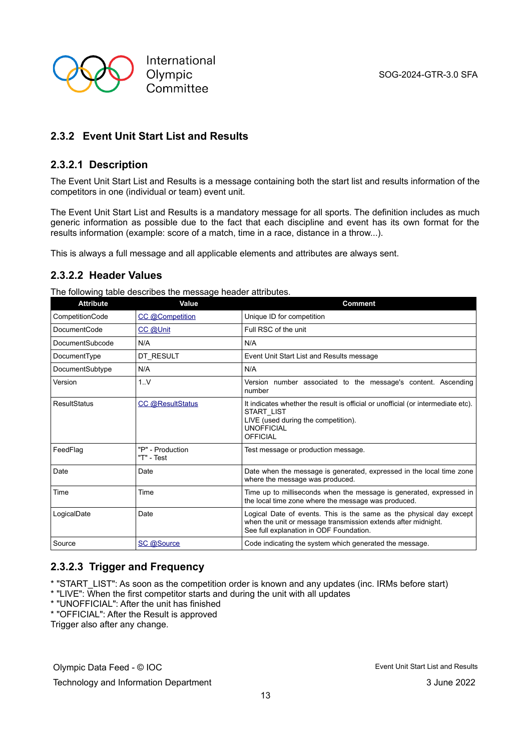

## <span id="page-12-3"></span>**2.3.2 Event Unit Start List and Results**

#### <span id="page-12-2"></span>**2.3.2.1 Description**

The Event Unit Start List and Results is a message containing both the start list and results information of the competitors in one (individual or team) event unit.

The Event Unit Start List and Results is a mandatory message for all sports. The definition includes as much generic information as possible due to the fact that each discipline and event has its own format for the results information (example: score of a match, time in a race, distance in a throw...).

This is always a full message and all applicable elements and attributes are always sent.

#### <span id="page-12-1"></span>**2.3.2.2 Header Values**

The following table describes the message header attributes.

| <b>Attribute</b>       | Value                          | <b>Comment</b>                                                                                                                                                                  |  |
|------------------------|--------------------------------|---------------------------------------------------------------------------------------------------------------------------------------------------------------------------------|--|
| CompetitionCode        | CC @Competition                | Unique ID for competition                                                                                                                                                       |  |
| <b>DocumentCode</b>    | CC @Unit                       | Full RSC of the unit                                                                                                                                                            |  |
| <b>DocumentSubcode</b> | N/A                            | N/A                                                                                                                                                                             |  |
| DocumentType           | DT RESULT                      | Event Unit Start List and Results message                                                                                                                                       |  |
| DocumentSubtype        | N/A                            | N/A                                                                                                                                                                             |  |
| Version                | 1.1V                           | Version number associated to the message's content. Ascending<br>number                                                                                                         |  |
| <b>ResultStatus</b>    | CC @ResultStatus               | It indicates whether the result is official or unofficial (or intermediate etc).<br>START LIST<br>LIVE (used during the competition).<br><b>UNOFFICIAL</b><br><b>OFFICIAL</b>   |  |
| FeedFlag               | "P" - Production<br>"T" - Test | Test message or production message.                                                                                                                                             |  |
| Date                   | Date                           | Date when the message is generated, expressed in the local time zone<br>where the message was produced.                                                                         |  |
| Time                   | Time                           | Time up to milliseconds when the message is generated, expressed in<br>the local time zone where the message was produced.                                                      |  |
| LogicalDate            | Date                           | Logical Date of events. This is the same as the physical day except<br>when the unit or message transmission extends after midnight.<br>See full explanation in ODF Foundation. |  |
| Source                 | SC @Source                     | Code indicating the system which generated the message.                                                                                                                         |  |

#### <span id="page-12-0"></span>**2.3.2.3 Trigger and Frequency**

\* "START\_LIST": As soon as the competition order is known and any updates (inc. IRMs before start)

- \* "LIVE": When the first competitor starts and during the unit with all updates
- \* "UNOFFICIAL": After the unit has finished
- \* "OFFICIAL": After the Result is approved

Trigger also after any change.

Olympic Data Feed - © IOC **Event Unit Start List and Results**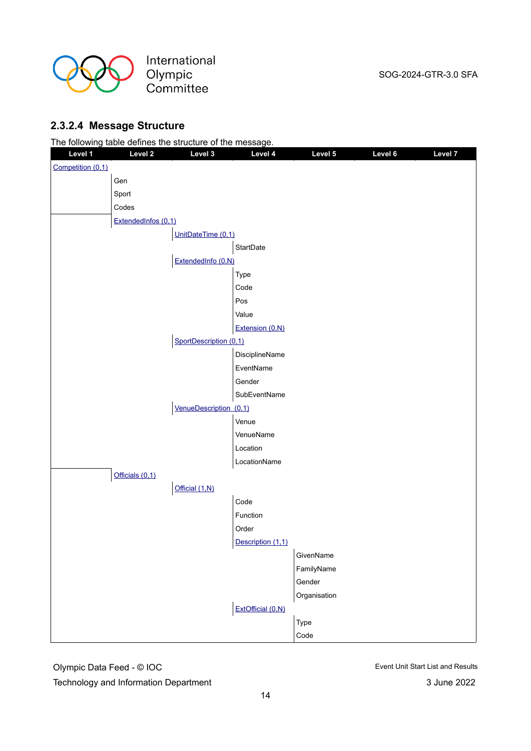

## <span id="page-13-0"></span>**2.3.2.4 Message Structure**

The following table defines the structure of the message.

| Level 1           | Level 2             | Level 3                | Level 4           | Level 5      | Level 6 | Level 7 |
|-------------------|---------------------|------------------------|-------------------|--------------|---------|---------|
| Competition (0,1) |                     |                        |                   |              |         |         |
|                   | Gen                 |                        |                   |              |         |         |
|                   | Sport               |                        |                   |              |         |         |
|                   | Codes               |                        |                   |              |         |         |
|                   | ExtendedInfos (0,1) |                        |                   |              |         |         |
|                   |                     | UnitDateTime (0,1)     |                   |              |         |         |
|                   |                     |                        | StartDate         |              |         |         |
|                   |                     | ExtendedInfo (0,N)     |                   |              |         |         |
|                   |                     |                        | Type              |              |         |         |
|                   |                     |                        | Code              |              |         |         |
|                   |                     |                        | Pos               |              |         |         |
|                   |                     |                        | Value             |              |         |         |
|                   |                     |                        | Extension (0,N)   |              |         |         |
|                   |                     | SportDescription (0,1) |                   |              |         |         |
|                   |                     |                        | DisciplineName    |              |         |         |
|                   |                     |                        | EventName         |              |         |         |
|                   |                     |                        | Gender            |              |         |         |
|                   |                     |                        | SubEventName      |              |         |         |
|                   |                     | VenueDescription (0,1) |                   |              |         |         |
|                   |                     |                        | Venue             |              |         |         |
|                   |                     |                        | VenueName         |              |         |         |
|                   |                     |                        | Location          |              |         |         |
|                   |                     |                        | LocationName      |              |         |         |
|                   | Officials (0,1)     |                        |                   |              |         |         |
|                   |                     | Official (1,N)         |                   |              |         |         |
|                   |                     |                        | Code              |              |         |         |
|                   |                     |                        | Function          |              |         |         |
|                   |                     |                        | Order             |              |         |         |
|                   |                     |                        | Description (1,1) |              |         |         |
|                   |                     |                        |                   | GivenName    |         |         |
|                   |                     |                        |                   | FamilyName   |         |         |
|                   |                     |                        |                   | Gender       |         |         |
|                   |                     |                        |                   | Organisation |         |         |
|                   |                     |                        | ExtOfficial (0,N) |              |         |         |
|                   |                     |                        |                   | Type         |         |         |
|                   |                     |                        |                   | Code         |         |         |

Olympic Data Feed - © IOC **Event Unit Start List and Results** Technology and Information Department 3 June 2022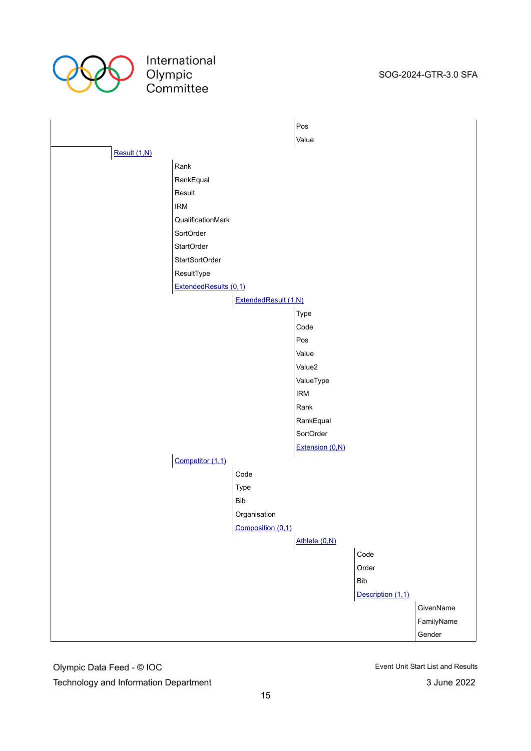

#### SOG-2024-GTR-3.0 SFA



Olympic Data Feed - © IOC **Example 2018** Event Unit Start List and Results Technology and Information Department 3 June 2022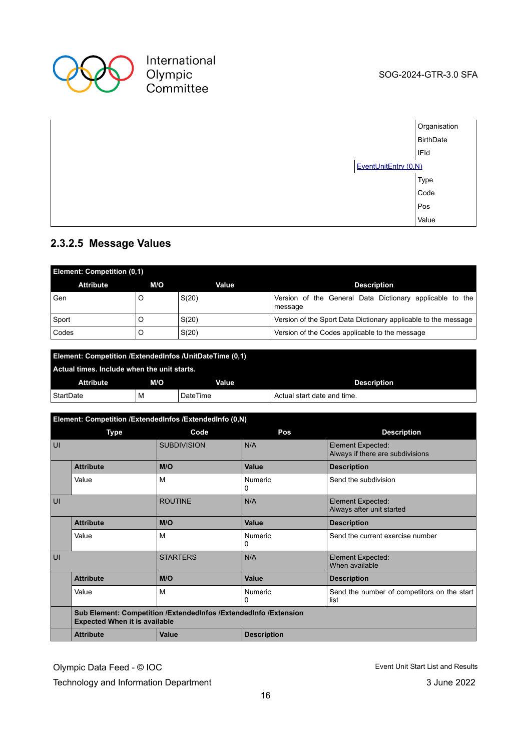

|                      | Organisation     |
|----------------------|------------------|
|                      | <b>BirthDate</b> |
|                      | IFId             |
| EventUnitEntry (0,N) |                  |
|                      | Type             |
|                      | Code             |
|                      | Pos              |
|                      | Value            |

## <span id="page-15-0"></span>**2.3.2.5 Message Values**

<span id="page-15-3"></span>

| <b>Element: Competition (0,1)</b> |     |       |                                                                     |  |  |
|-----------------------------------|-----|-------|---------------------------------------------------------------------|--|--|
| <b>Attribute</b>                  | M/O | Value | <b>Description</b>                                                  |  |  |
| Gen                               |     | S(20) | Version of the General Data Dictionary applicable to the<br>message |  |  |
| Sport                             |     | S(20) | Version of the Sport Data Dictionary applicable to the message      |  |  |
| Codes                             |     | S(20) | Version of the Codes applicable to the message                      |  |  |

<span id="page-15-2"></span>

| <b>Element: Competition /ExtendedInfos /UnitDateTime (0.1)</b> |     |          |                             |  |  |
|----------------------------------------------------------------|-----|----------|-----------------------------|--|--|
| Actual times. Include when the unit starts.                    |     |          |                             |  |  |
| <b>Attribute</b>                                               | M/O | Value    | <b>Description</b>          |  |  |
| StartDate                                                      | M   | DateTime | Actual start date and time. |  |  |

<span id="page-15-1"></span>

|    | Element: Competition /ExtendedInfos /ExtendedInfo (0,N)                                                  |                    |                     |                                                              |  |  |  |
|----|----------------------------------------------------------------------------------------------------------|--------------------|---------------------|--------------------------------------------------------------|--|--|--|
|    | Type                                                                                                     | Code               | <b>Pos</b>          | <b>Description</b>                                           |  |  |  |
| UI |                                                                                                          | <b>SUBDIVISION</b> | N/A                 | <b>Element Expected:</b><br>Always if there are subdivisions |  |  |  |
|    | <b>Attribute</b>                                                                                         | M/O                | <b>Value</b>        | <b>Description</b>                                           |  |  |  |
|    | Value                                                                                                    | M                  | Numeric<br>0        | Send the subdivision                                         |  |  |  |
| UI |                                                                                                          | <b>ROUTINE</b>     | N/A                 | <b>Element Expected:</b><br>Always after unit started        |  |  |  |
|    | <b>Attribute</b>                                                                                         | M/O                | <b>Value</b>        | <b>Description</b>                                           |  |  |  |
|    | Value                                                                                                    | M                  | Numeric<br>0        | Send the current exercise number                             |  |  |  |
| UI |                                                                                                          | <b>STARTERS</b>    | N/A                 | <b>Element Expected:</b><br>When available                   |  |  |  |
|    | <b>Attribute</b>                                                                                         | M/O                | Value               | <b>Description</b>                                           |  |  |  |
|    | Value                                                                                                    | м                  | Numeric<br>$\Omega$ | Send the number of competitors on the start<br>list          |  |  |  |
|    | Sub Element: Competition /ExtendedInfos /ExtendedInfo /Extension<br><b>Expected When it is available</b> |                    |                     |                                                              |  |  |  |
|    | <b>Attribute</b><br><b>Value</b><br><b>Description</b>                                                   |                    |                     |                                                              |  |  |  |

Olympic Data Feed - © IOC **Example 2018** Event Unit Start List and Results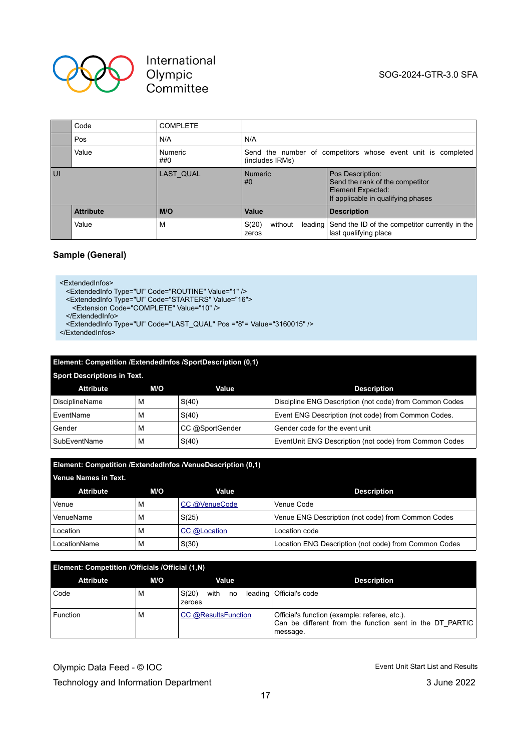

|    | Code             | <b>COMPLETE</b>       |                                                                                 |                                                                                                                |  |  |
|----|------------------|-----------------------|---------------------------------------------------------------------------------|----------------------------------------------------------------------------------------------------------------|--|--|
|    | Pos              | N/A                   | N/A                                                                             |                                                                                                                |  |  |
|    | Value            | <b>Numeric</b><br>##0 | Send the number of competitors whose event unit is completed<br>(includes IRMs) |                                                                                                                |  |  |
| UI |                  | LAST QUAL             | <b>Numeric</b><br>#0                                                            | Pos Description:<br>Send the rank of the competitor<br>Element Expected:<br>If applicable in qualifying phases |  |  |
|    | <b>Attribute</b> | M/O                   | <b>Value</b>                                                                    | <b>Description</b>                                                                                             |  |  |
|    | Value            | М                     | S(20)<br>without<br>zeros                                                       | leading Send the ID of the competitor currently in the<br>last qualifying place                                |  |  |

#### **Sample (General)**

<ExtendedInfos>

<ExtendedInfo Type="UI" Code="ROUTINE" Value="1" />

<ExtendedInfo Type="UI" Code="STARTERS" Value="16">

<Extension Code="COMPLETE" Value="10" />

</ExtendedInfo>

<ExtendedInfo Type="UI" Code="LAST\_QUAL" Pos ="8"= Value="3160015" />

</ExtendedInfos>

<span id="page-16-2"></span>

| Element: Competition /ExtendedInfos /SportDescription (0,1) |     |                 |                                                         |  |  |
|-------------------------------------------------------------|-----|-----------------|---------------------------------------------------------|--|--|
| <b>Sport Descriptions in Text.</b>                          |     |                 |                                                         |  |  |
| <b>Attribute</b>                                            | M/O | Value           | <b>Description</b>                                      |  |  |
| <b>DisciplineName</b>                                       | м   | S(40)           | Discipline ENG Description (not code) from Common Codes |  |  |
| EventName                                                   | м   | S(40)           | Event ENG Description (not code) from Common Codes.     |  |  |
| Gender                                                      | м   | CC @SportGender | Gender code for the event unit                          |  |  |
| SubEventName                                                | м   | S(40)           | EventUnit ENG Description (not code) from Common Codes  |  |  |

<span id="page-16-1"></span>

| Venue Names in Text. |     |               |                                                       |
|----------------------|-----|---------------|-------------------------------------------------------|
| <b>Attribute</b>     | M/O | Value         | <b>Description</b>                                    |
| Venue                | м   | CC @VenueCode | Venue Code                                            |
| VenueName            | м   | S(25)         | Venue ENG Description (not code) from Common Codes    |
| Location             | м   | CC @Location  | Location code                                         |
| LocationName         | м   | S(30)         | Location ENG Description (not code) from Common Codes |

<span id="page-16-0"></span>

| Element: Competition / Officials / Official (1,N) |     |                               |                                                                                                                       |
|---------------------------------------------------|-----|-------------------------------|-----------------------------------------------------------------------------------------------------------------------|
| <b>Attribute</b>                                  | M/O | Value                         | <b>Description</b>                                                                                                    |
| Code                                              | M   | S(20)<br>with<br>no<br>zeroes | leading   Official's code                                                                                             |
| Function                                          | M   | CC @ResultsFunction           | Official's function (example: referee, etc.).<br>Can be different from the function sent in the DT PARTIC<br>message. |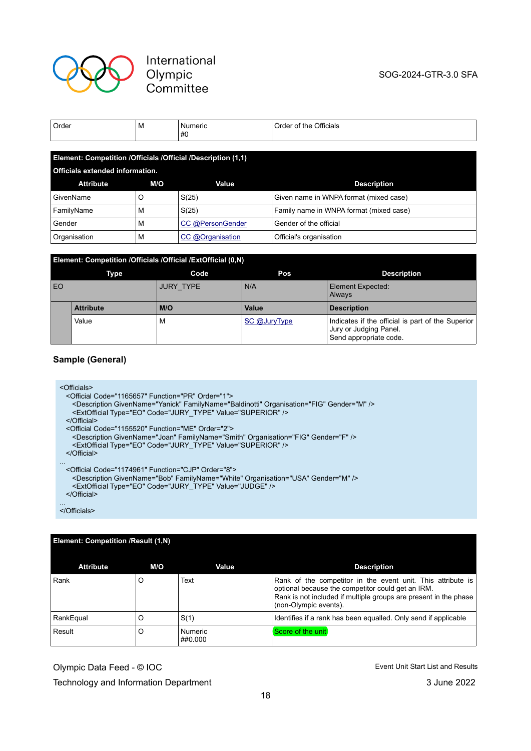

<span id="page-17-1"></span>

| Order                                                                                              | м   | Numeric<br>#0    | Order of the Officials                  |  |
|----------------------------------------------------------------------------------------------------|-----|------------------|-----------------------------------------|--|
| Element: Competition / Officials / Official / Description (1,1)<br>Officials extended information. |     |                  |                                         |  |
| <b>Attribute</b>                                                                                   | M/O | Value            | <b>Description</b>                      |  |
| GivenName                                                                                          | O   | S(25)            | Given name in WNPA format (mixed case)  |  |
| FamilyName                                                                                         | м   | S(25)            | Family name in WNPA format (mixed case) |  |
| Gender                                                                                             | м   | CC @PersonGender | Gender of the official                  |  |
| Organisation                                                                                       | M   | CC @Organisation | Official's organisation                 |  |

<span id="page-17-0"></span>

|           | Element: Competition /Officials /Official /ExtOfficial (0,N) |                  |              |                                                                                                       |
|-----------|--------------------------------------------------------------|------------------|--------------|-------------------------------------------------------------------------------------------------------|
|           | <b>Type</b>                                                  | Code             | Pos          | <b>Description</b>                                                                                    |
| <b>EO</b> |                                                              | <b>JURY TYPE</b> | N/A          | <b>Element Expected:</b><br>Always                                                                    |
|           | <b>Attribute</b>                                             | M/O              | Value        | <b>Description</b>                                                                                    |
|           | Value                                                        | M                | SC @JuryType | Indicates if the official is part of the Superior<br>Jury or Judging Panel.<br>Send appropriate code. |

#### **Sample (General)**

<Officials>

<Official Code="1165657" Function="PR" Order="1">

<Description GivenName="Yanick" FamilyName="Baldinotti" Organisation="FIG" Gender="M" /> <ExtOfficial Type="EO" Code="JURY\_TYPE" Value="SUPERIOR" />

</Official>

<Official Code="1155520" Function="ME" Order="2">

<Description GivenName="Joan" FamilyName="Smith" Organisation="FIG" Gender="F" />

<ExtOfficial Type="EO" Code="JURY\_TYPE" Value="SUPERIOR" />

</Official>

...

<Official Code="1174961" Function="CJP" Order="8">

- <Description GivenName="Bob" FamilyName="White" Organisation="USA" Gender="M" />
- <ExtOfficial Type="EO" Code="JURY\_TYPE" Value="JUDGE" />

</Official>

... </Officials>

<span id="page-17-2"></span>

| <b>Element: Competition / Result (1, N)</b> |     |                           |                                                                                                                                                                                                               |
|---------------------------------------------|-----|---------------------------|---------------------------------------------------------------------------------------------------------------------------------------------------------------------------------------------------------------|
| <b>Attribute</b>                            | M/O | Value                     | <b>Description</b>                                                                                                                                                                                            |
| Rank                                        | O   | Text                      | Rank of the competitor in the event unit. This attribute is<br>optional because the competitor could get an IRM.<br>Rank is not included if multiple groups are present in the phase<br>(non-Olympic events). |
| RankEqual                                   | O   | S(1)                      | Identifies if a rank has been equalled. Only send if applicable                                                                                                                                               |
| Result                                      | O   | <b>Numeric</b><br>##0.000 | Score of the unit                                                                                                                                                                                             |

Olympic Data Feed - © IOC **Example 2018** Event Unit Start List and Results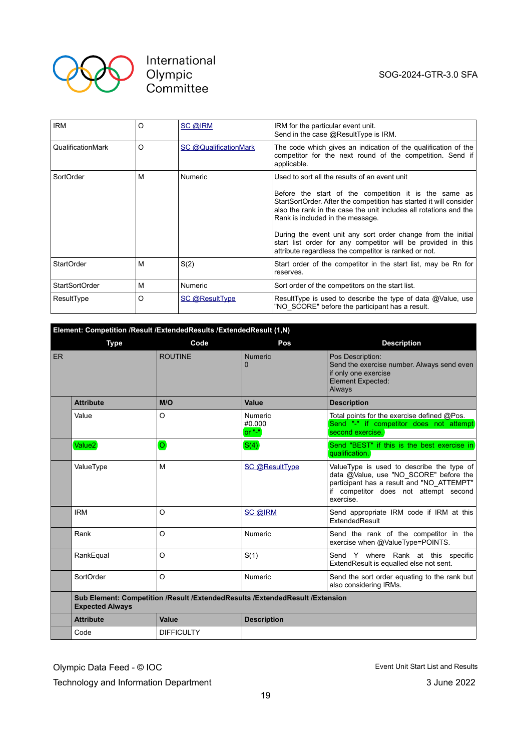

| <b>IRM</b>            | O | SC @IRM               | IRM for the particular event unit.<br>Send in the case @ResultType is IRM.                                                                                                                                                                                                                                                                                                                                                                                                     |
|-----------------------|---|-----------------------|--------------------------------------------------------------------------------------------------------------------------------------------------------------------------------------------------------------------------------------------------------------------------------------------------------------------------------------------------------------------------------------------------------------------------------------------------------------------------------|
| QualificationMark     | O | SC @QualificationMark | The code which gives an indication of the qualification of the<br>competitor for the next round of the competition. Send if<br>applicable.                                                                                                                                                                                                                                                                                                                                     |
| SortOrder             | M | <b>Numeric</b>        | Used to sort all the results of an event unit<br>Before the start of the competition it is the same as<br>StartSortOrder. After the competition has started it will consider<br>also the rank in the case the unit includes all rotations and the<br>Rank is included in the message.<br>During the event unit any sort order change from the initial<br>start list order for any competitor will be provided in this<br>attribute regardless the competitor is ranked or not. |
| <b>StartOrder</b>     | M | S(2)                  | Start order of the competitor in the start list, may be Rn for<br>reserves.                                                                                                                                                                                                                                                                                                                                                                                                    |
| <b>StartSortOrder</b> | м | <b>Numeric</b>        | Sort order of the competitors on the start list.                                                                                                                                                                                                                                                                                                                                                                                                                               |
| ResultType            | O | <b>SC @ResultType</b> | ResultType is used to describe the type of data $@$ Value, use<br>"NO SCORE" before the participant has a result.                                                                                                                                                                                                                                                                                                                                                              |

<span id="page-18-0"></span>

|           | Element: Competition /Result /ExtendedResults /ExtendedResult (1,N) |                                                                              |                                |                                                                                                                                                                                        |  |
|-----------|---------------------------------------------------------------------|------------------------------------------------------------------------------|--------------------------------|----------------------------------------------------------------------------------------------------------------------------------------------------------------------------------------|--|
|           | <b>Type</b>                                                         | Code                                                                         | Pos                            | <b>Description</b>                                                                                                                                                                     |  |
| <b>ER</b> |                                                                     | <b>ROUTINE</b>                                                               | <b>Numeric</b><br>$\Omega$     | Pos Description:<br>Send the exercise number. Always send even<br>if only one exercise<br>Element Expected:<br>Always                                                                  |  |
|           | <b>Attribute</b>                                                    | M/O                                                                          | Value                          | <b>Description</b>                                                                                                                                                                     |  |
|           | Value                                                               | $\circ$                                                                      | Numeric<br>#0.000<br>or $"$ -" | Total points for the exercise defined @Pos.<br>Send "-" if competitor does not attempt<br>second exercise.                                                                             |  |
|           | Value <sub>2</sub>                                                  | $\overline{O}$                                                               | S(4)                           | Send "BEST" if this is the best exercise in<br>qualification.                                                                                                                          |  |
|           | ValueType                                                           | M                                                                            | SC @ResultType                 | ValueType is used to describe the type of<br>data @Value, use "NO SCORE" before the<br>participant has a result and "NO_ATTEMPT"<br>if competitor does not attempt second<br>exercise. |  |
|           | <b>IRM</b>                                                          | O                                                                            | SC @IRM                        | Send appropriate IRM code if IRM at this<br>ExtendedResult                                                                                                                             |  |
|           | Rank                                                                | $\circ$                                                                      | <b>Numeric</b>                 | Send the rank of the competitor in the<br>exercise when @ValueType=POINTS.                                                                                                             |  |
|           | RankEqual                                                           | $\Omega$                                                                     | S(1)                           | Send Y where Rank at this specific<br>ExtendResult is equalled else not sent.                                                                                                          |  |
|           | SortOrder                                                           | $\circ$                                                                      | <b>Numeric</b>                 | Send the sort order equating to the rank but<br>also considering IRMs.                                                                                                                 |  |
|           | <b>Expected Always</b>                                              | Sub Element: Competition /Result /ExtendedResults /ExtendedResult /Extension |                                |                                                                                                                                                                                        |  |
|           | <b>Attribute</b>                                                    | Value                                                                        | <b>Description</b>             |                                                                                                                                                                                        |  |
|           | Code                                                                | <b>DIFFICULTY</b>                                                            |                                |                                                                                                                                                                                        |  |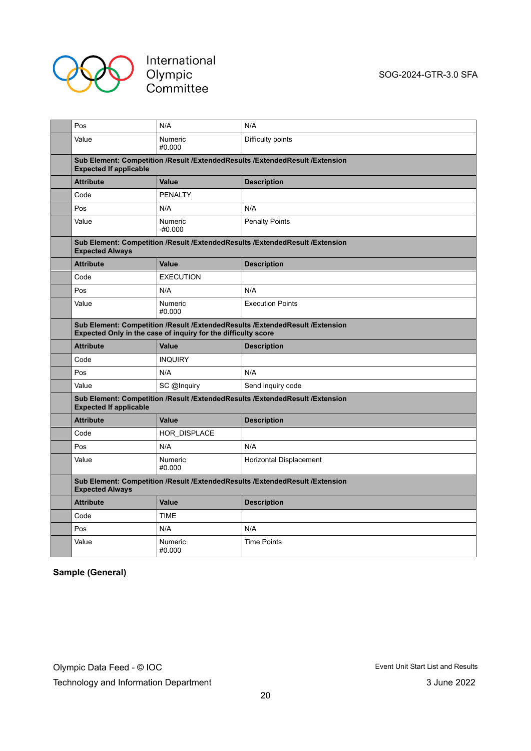

| Pos                                                                                                           | N/A                                                           | N/A                                                                                |
|---------------------------------------------------------------------------------------------------------------|---------------------------------------------------------------|------------------------------------------------------------------------------------|
| Value                                                                                                         | Numeric<br>#0.000                                             | Difficulty points                                                                  |
| Sub Element: Competition /Result /ExtendedResults /ExtendedResult /Extension<br><b>Expected If applicable</b> |                                                               |                                                                                    |
| <b>Attribute</b>                                                                                              | Value                                                         | <b>Description</b>                                                                 |
| Code                                                                                                          | <b>PENALTY</b>                                                |                                                                                    |
| Pos                                                                                                           | N/A                                                           | N/A                                                                                |
| Value                                                                                                         | Numeric<br>$-#0.000$                                          | <b>Penalty Points</b>                                                              |
| <b>Expected Always</b>                                                                                        |                                                               | Sub Element: Competition /Result /ExtendedResults /ExtendedResult /Extension       |
| <b>Attribute</b>                                                                                              | <b>Value</b>                                                  | <b>Description</b>                                                                 |
| Code                                                                                                          | <b>EXECUTION</b>                                              |                                                                                    |
| Pos                                                                                                           | N/A                                                           | N/A                                                                                |
| Value                                                                                                         | Numeric<br>#0.000                                             | <b>Execution Points</b>                                                            |
|                                                                                                               | Expected Only in the case of inquiry for the difficulty score | Sub Element: Competition /Result /ExtendedResults /ExtendedResult /Extension       |
|                                                                                                               |                                                               |                                                                                    |
| <b>Attribute</b>                                                                                              | <b>Value</b>                                                  | <b>Description</b>                                                                 |
| Code                                                                                                          | <b>INQUIRY</b>                                                |                                                                                    |
| Pos                                                                                                           | N/A                                                           | N/A                                                                                |
| Value                                                                                                         | SC @Inquiry                                                   | Send inquiry code                                                                  |
| <b>Expected If applicable</b>                                                                                 |                                                               | Sub Element: Competition / Result / Extended Results / Extended Result / Extension |
| <b>Attribute</b>                                                                                              | <b>Value</b>                                                  | <b>Description</b>                                                                 |
| Code                                                                                                          | HOR DISPLACE                                                  |                                                                                    |
| Pos                                                                                                           | N/A                                                           | N/A                                                                                |
| Value                                                                                                         | <b>Numeric</b><br>#0.000                                      | Horizontal Displacement                                                            |
| <b>Expected Always</b>                                                                                        |                                                               | Sub Element: Competition /Result /ExtendedResults /ExtendedResult /Extension       |
| <b>Attribute</b>                                                                                              | Value                                                         | <b>Description</b>                                                                 |
| Code                                                                                                          | <b>TIME</b>                                                   |                                                                                    |
| Pos                                                                                                           | N/A                                                           | N/A                                                                                |

 **Sample (General)**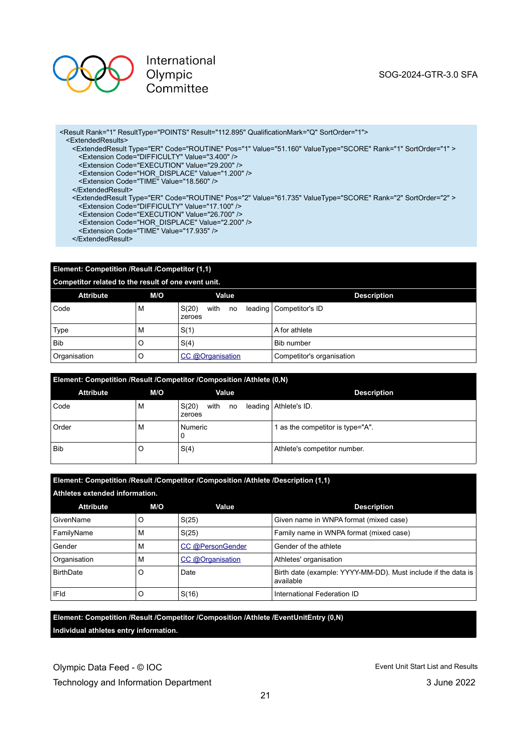

<Result Rank="1" ResultType="POINTS" Result="112.895" QualificationMark="Q" SortOrder="1">

- <ExtendedResults>
	- <ExtendedResult Type="ER" Code="ROUTINE" Pos="1" Value="51.160" ValueType="SCORE" Rank="1" SortOrder="1" > <Extension Code="DIFFICULTY" Value="3.400" />
	- <Extension Code="EXECUTION" Value="29.200" />
	- <Extension Code="HOR\_DISPLACE" Value="1.200" />
	- <Extension Code="TIME" Value="18.560" />
	- </ExtendedResult>
	- <ExtendedResult Type="ER" Code="ROUTINE" Pos="2" Value="61.735" ValueType="SCORE" Rank="2" SortOrder="2" > <Extension Code="DIFFICULTY" Value="17.100" />
		- <Extension Code="EXECUTION" Value="26.700" />
		- <Extension Code="HOR\_DISPLACE" Value="2.200" />
		- <Extension Code="TIME" Value="17.935" />

</ExtendedResult>

#### <span id="page-20-2"></span>**Element: Competition /Result /Competitor (1,1)**

#### **Competitor related to the result of one event unit.**

| <b>Attribute</b> | M/O | Value                         | <b>Description</b>        |
|------------------|-----|-------------------------------|---------------------------|
| Code             | M   | S(20)<br>with<br>no<br>zeroes | leading   Competitor's ID |
| Type             | м   | S(1)                          | A for athlete             |
| <b>Bib</b>       | Ő   | S(4)                          | Bib number                |
| Organisation     | Ô   | CC @Organisation              | Competitor's organisation |

<span id="page-20-1"></span>

| <b>Element: Competition /Result /Competitor /Composition /Athlete (0.N)</b> |     |                               |                                |
|-----------------------------------------------------------------------------|-----|-------------------------------|--------------------------------|
| <b>Attribute</b>                                                            | M/O | Value                         | <b>Description</b>             |
| Code                                                                        | M   | S(20)<br>with<br>no<br>zeroes | leading   Athlete's ID.        |
| Order                                                                       | M   | <b>Numeric</b><br>0           | as the competitor is type="A". |
| <b>Bib</b>                                                                  | O   | S(4)                          | Athlete's competitor number.   |

<span id="page-20-0"></span>**Element: Competition /Result /Competitor /Composition /Athlete /Description (1,1)**

| Athletes extended information. |     |                  |                                                                            |  |
|--------------------------------|-----|------------------|----------------------------------------------------------------------------|--|
| <b>Attribute</b>               | M/O | Value            | <b>Description</b>                                                         |  |
| GivenName                      | O   | S(25)            | Given name in WNPA format (mixed case)                                     |  |
| FamilyName                     | м   | S(25)            | Family name in WNPA format (mixed case)                                    |  |
| Gender                         | м   | CC @PersonGender | Gender of the athlete                                                      |  |
| Organisation                   | М   | CC @Organisation | Athletes' organisation                                                     |  |
| <b>BirthDate</b>               | O   | Date             | Birth date (example: YYYY-MM-DD). Must include if the data is<br>available |  |
| IFId                           | O   | S(16)            | International Federation ID                                                |  |

<span id="page-20-3"></span>**Element: Competition /Result /Competitor /Composition /Athlete /EventUnitEntry (0,N) Individual athletes entry information.**

Olympic Data Feed - © IOC **Event Unit Start List and Results** Technology and Information Department 3 June 2022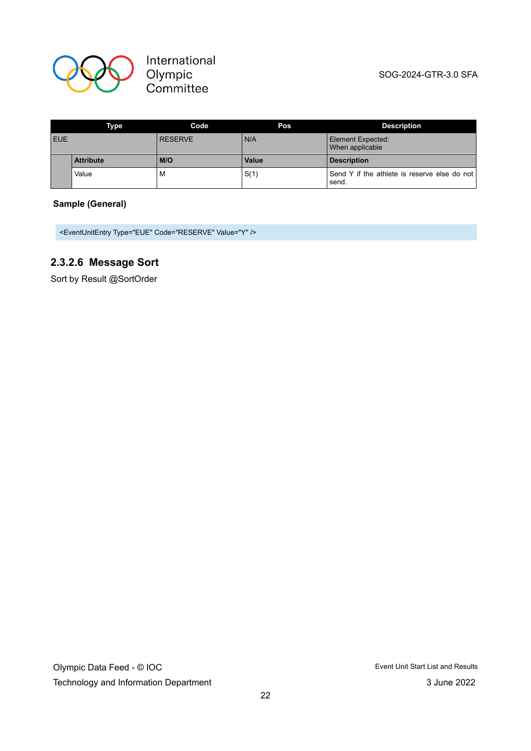

|            | Type             | Code           | Pos          | <b>Description</b>                                    |
|------------|------------------|----------------|--------------|-------------------------------------------------------|
| <b>EUE</b> |                  | <b>RESERVE</b> | N/A          | <b>Element Expected:</b><br>When applicable           |
|            | <b>Attribute</b> | M/O            | <b>Value</b> | <b>Description</b>                                    |
|            | Value            | м              | S(1)         | Send Y if the athlete is reserve else do not<br>send. |

#### **Sample (General)**

<EventUnitEntry Type="EUE" Code="RESERVE" Value="Y" />

## <span id="page-21-0"></span>**2.3.2.6 Message Sort**

Sort by Result @SortOrder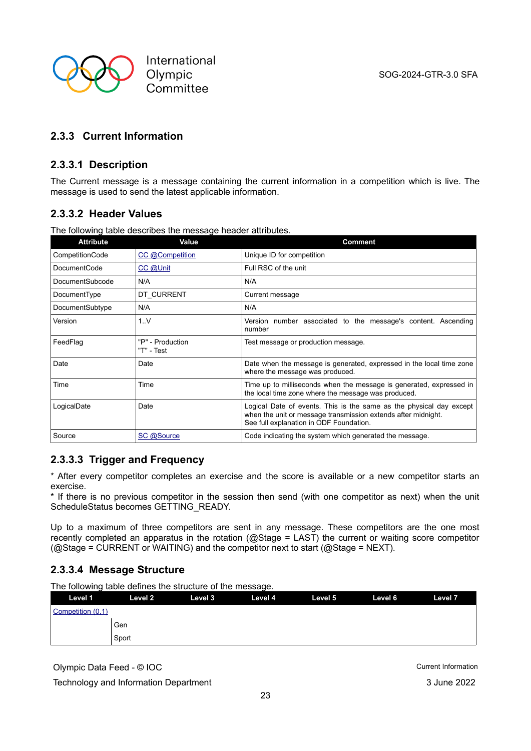## <span id="page-22-4"></span>**2.3.3 Current Information**

#### <span id="page-22-3"></span>**2.3.3.1 Description**

The Current message is a message containing the current information in a competition which is live. The message is used to send the latest applicable information.

#### <span id="page-22-2"></span>**2.3.3.2 Header Values**

The following table describes the message header attributes. **Attribute Value Comment**

| Attribute              | value                          | Comment                                                                                                                                                                         |
|------------------------|--------------------------------|---------------------------------------------------------------------------------------------------------------------------------------------------------------------------------|
| CompetitionCode        | CC @Competition                | Unique ID for competition                                                                                                                                                       |
| DocumentCode           | CC @Unit                       | Full RSC of the unit                                                                                                                                                            |
| <b>DocumentSubcode</b> | N/A                            | N/A                                                                                                                                                                             |
| DocumentType           | DT CURRENT                     | Current message                                                                                                                                                                 |
| DocumentSubtype        | N/A                            | N/A                                                                                                                                                                             |
| Version                | 1.1V                           | Version number associated to the message's content. Ascending<br>number                                                                                                         |
| FeedFlag               | "P" - Production<br>"T" - Test | Test message or production message.                                                                                                                                             |
| Date                   | Date                           | Date when the message is generated, expressed in the local time zone<br>where the message was produced.                                                                         |
| Time                   | Time                           | Time up to milliseconds when the message is generated, expressed in<br>the local time zone where the message was produced.                                                      |
| LogicalDate            | Date                           | Logical Date of events. This is the same as the physical day except<br>when the unit or message transmission extends after midnight.<br>See full explanation in ODF Foundation. |
| Source                 | <b>SC</b> @Source              | Code indicating the system which generated the message.                                                                                                                         |

#### <span id="page-22-1"></span>**2.3.3.3 Trigger and Frequency**

\* After every competitor completes an exercise and the score is available or a new competitor starts an exercise.

\* If there is no previous competitor in the session then send (with one competitor as next) when the unit ScheduleStatus becomes GETTING\_READY.

Up to a maximum of three competitors are sent in any message. These competitors are the one most recently completed an apparatus in the rotation (@Stage = LAST) the current or waiting score competitor (@Stage = CURRENT or WAITING) and the competitor next to start (@Stage = NEXT).

#### <span id="page-22-0"></span>**2.3.3.4 Message Structure**

The following table defines the structure of the message.

| __<br>Level 1     | Level 2 | Level 3 | ____<br>Level 4 | Level 5 | Level 6 | Level 7 |
|-------------------|---------|---------|-----------------|---------|---------|---------|
| Competition (0.1) |         |         |                 |         |         |         |
|                   | Gen     |         |                 |         |         |         |
|                   | Sport   |         |                 |         |         |         |

Olympic Data Feed - © IOC Current Information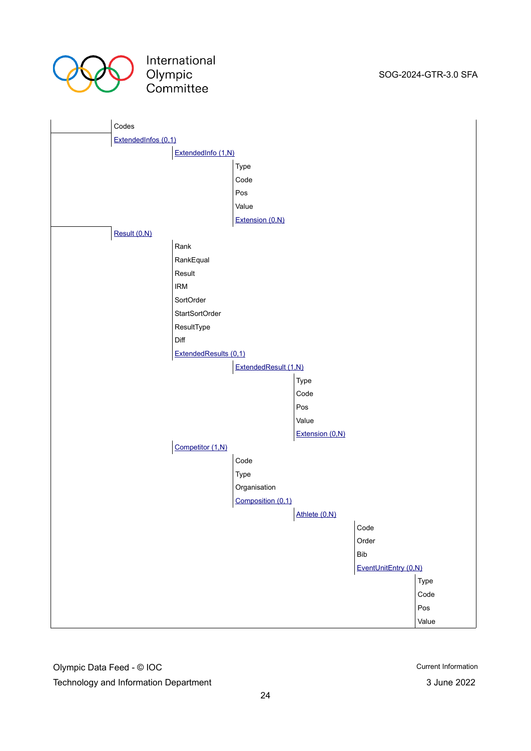

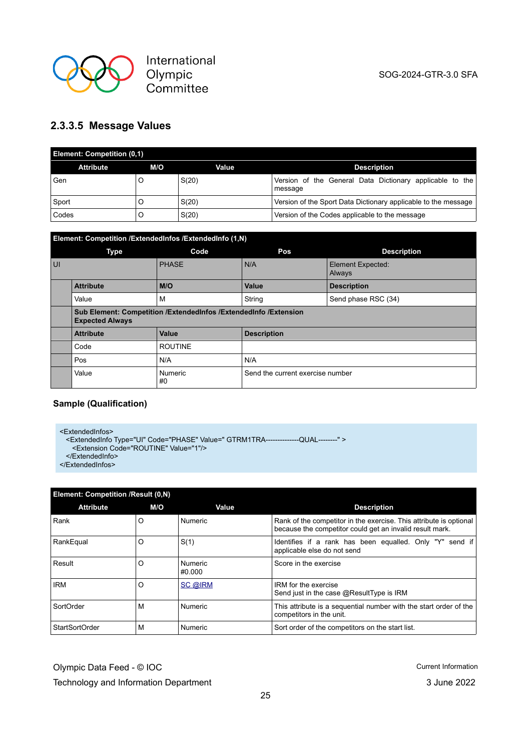

## <span id="page-24-0"></span>**2.3.3.5 Message Values**

<span id="page-24-1"></span>

| <b>Element: Competition (0,1)</b> |     |       |                                                                     |  |  |  |
|-----------------------------------|-----|-------|---------------------------------------------------------------------|--|--|--|
| <b>Attribute</b>                  | M/O | Value | <b>Description</b>                                                  |  |  |  |
| Gen                               |     | S(20) | Version of the General Data Dictionary applicable to the<br>message |  |  |  |
| Sport                             |     | S(20) | Version of the Sport Data Dictionary applicable to the message      |  |  |  |
| Codes                             |     | S(20) | Version of the Codes applicable to the message                      |  |  |  |

<span id="page-24-3"></span>

|   | Element: Competition /ExtendedInfos /ExtendedInfo (1,N)                                    |                |                                  |                                    |  |  |
|---|--------------------------------------------------------------------------------------------|----------------|----------------------------------|------------------------------------|--|--|
|   | Type                                                                                       | Code           | Pos                              | <b>Description</b>                 |  |  |
| U |                                                                                            | <b>PHASE</b>   | N/A                              | <b>Element Expected:</b><br>Always |  |  |
|   | <b>Attribute</b>                                                                           | M/O            | Value                            | <b>Description</b>                 |  |  |
|   | Value                                                                                      | м              | String                           | Send phase RSC (34)                |  |  |
|   | Sub Element: Competition /ExtendedInfos /ExtendedInfo /Extension<br><b>Expected Always</b> |                |                                  |                                    |  |  |
|   | <b>Attribute</b>                                                                           | Value          | <b>Description</b>               |                                    |  |  |
|   | Code                                                                                       | <b>ROUTINE</b> |                                  |                                    |  |  |
|   | Pos                                                                                        | N/A            | N/A                              |                                    |  |  |
|   | Value                                                                                      | Numeric<br>#0  | Send the current exercise number |                                    |  |  |

#### **Sample (Qualification)**

<ExtendedInfos>

<ExtendedInfo Type="UI" Code="PHASE" Value=" GTRM1TRA--------------QUAL--------" >

<Extension Code="ROUTINE" Value="1"/>

</ExtendedInfo>

</ExtendedInfos>

<span id="page-24-2"></span>

| Element: Competition /Result (0,N) |     |                          |                                                                                                                                |  |  |  |
|------------------------------------|-----|--------------------------|--------------------------------------------------------------------------------------------------------------------------------|--|--|--|
| <b>Attribute</b>                   | M/O | Value                    | <b>Description</b>                                                                                                             |  |  |  |
| Rank                               | O   | <b>Numeric</b>           | Rank of the competitor in the exercise. This attribute is optional<br>because the competitor could get an invalid result mark. |  |  |  |
| RankEqual                          | O   | S(1)                     | Identifies if a rank has been equalled. Only "Y" send if<br>applicable else do not send                                        |  |  |  |
| Result                             | O   | <b>Numeric</b><br>#0.000 | Score in the exercise                                                                                                          |  |  |  |
| <b>IRM</b>                         | O   | SC @IRM                  | IRM for the exercise<br>Send just in the case @ResultType is IRM                                                               |  |  |  |
| SortOrder                          | м   | <b>Numeric</b>           | This attribute is a sequential number with the start order of the<br>competitors in the unit.                                  |  |  |  |
| <b>StartSortOrder</b>              | м   | <b>Numeric</b>           | Sort order of the competitors on the start list.                                                                               |  |  |  |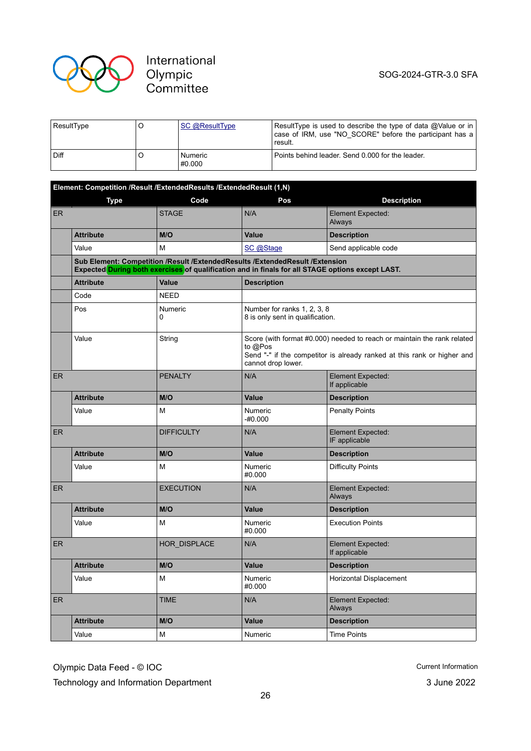

| ResultType | SC @ResultType    | ResultType is used to describe the type of data @Value or in<br>case of IRM, use "NO SCORE" before the participant has a<br>result. |
|------------|-------------------|-------------------------------------------------------------------------------------------------------------------------------------|
| Diff       | Numeric<br>#0.000 | Points behind leader. Send 0.000 for the leader.                                                                                    |

<span id="page-25-0"></span>

|                                | Element: Competition /Result /ExtendedResults /ExtendedResult (1,N) |                                                                                                                                                                                  |                                                                                                                                                                                     |                                           |  |
|--------------------------------|---------------------------------------------------------------------|----------------------------------------------------------------------------------------------------------------------------------------------------------------------------------|-------------------------------------------------------------------------------------------------------------------------------------------------------------------------------------|-------------------------------------------|--|
|                                | <b>Type</b>                                                         | Code                                                                                                                                                                             | Pos                                                                                                                                                                                 | <b>Description</b>                        |  |
| ER                             |                                                                     | STAGE                                                                                                                                                                            | N/A                                                                                                                                                                                 | <b>Element Expected:</b><br>Always        |  |
|                                | <b>Attribute</b>                                                    | M/O                                                                                                                                                                              | <b>Value</b>                                                                                                                                                                        | <b>Description</b>                        |  |
|                                | Value                                                               | M                                                                                                                                                                                | SC @Stage                                                                                                                                                                           | Send applicable code                      |  |
|                                |                                                                     | Sub Element: Competition /Result /ExtendedResults /ExtendedResult /Extension<br>Expected During both exercises of qualification and in finals for all STAGE options except LAST. |                                                                                                                                                                                     |                                           |  |
|                                | <b>Attribute</b>                                                    | Value                                                                                                                                                                            | <b>Description</b>                                                                                                                                                                  |                                           |  |
|                                | Code                                                                | <b>NEED</b>                                                                                                                                                                      |                                                                                                                                                                                     |                                           |  |
| Pos<br>Numeric<br>$\mathbf{0}$ |                                                                     | Number for ranks 1, 2, 3, 8<br>8 is only sent in qualification.                                                                                                                  |                                                                                                                                                                                     |                                           |  |
|                                | Value                                                               | String                                                                                                                                                                           | Score (with format #0.000) needed to reach or maintain the rank related<br>to @Pos<br>Send "-" if the competitor is already ranked at this rank or higher and<br>cannot drop lower. |                                           |  |
| <b>ER</b>                      |                                                                     | <b>PENALTY</b>                                                                                                                                                                   | N/A                                                                                                                                                                                 | <b>Element Expected:</b><br>If applicable |  |
|                                | <b>Attribute</b>                                                    | M/O                                                                                                                                                                              | <b>Value</b>                                                                                                                                                                        | <b>Description</b>                        |  |
|                                | Value                                                               | M                                                                                                                                                                                | Numeric<br>$-#0.000$                                                                                                                                                                | <b>Penalty Points</b>                     |  |
| ER.                            |                                                                     | <b>DIFFICULTY</b>                                                                                                                                                                | N/A                                                                                                                                                                                 | <b>Element Expected:</b><br>IF applicable |  |
|                                | <b>Attribute</b>                                                    | M/O                                                                                                                                                                              | <b>Value</b>                                                                                                                                                                        | <b>Description</b>                        |  |
|                                | Value                                                               | M                                                                                                                                                                                | <b>Numeric</b><br>#0.000                                                                                                                                                            | <b>Difficulty Points</b>                  |  |
| ER.                            |                                                                     | <b>EXECUTION</b>                                                                                                                                                                 | N/A                                                                                                                                                                                 | <b>Element Expected:</b><br>Always        |  |
|                                | <b>Attribute</b>                                                    | M/O                                                                                                                                                                              | <b>Value</b>                                                                                                                                                                        | <b>Description</b>                        |  |
|                                | Value                                                               | M                                                                                                                                                                                | <b>Numeric</b><br>#0.000                                                                                                                                                            | <b>Execution Points</b>                   |  |
| <b>ER</b>                      |                                                                     | HOR_DISPLACE                                                                                                                                                                     | N/A                                                                                                                                                                                 | <b>Element Expected:</b><br>If applicable |  |
|                                | <b>Attribute</b>                                                    | M/O                                                                                                                                                                              | <b>Value</b>                                                                                                                                                                        | <b>Description</b>                        |  |
|                                | Value                                                               | M                                                                                                                                                                                | Numeric<br>#0.000                                                                                                                                                                   | Horizontal Displacement                   |  |
| <b>ER</b>                      |                                                                     | <b>TIME</b>                                                                                                                                                                      | N/A                                                                                                                                                                                 | <b>Element Expected:</b><br>Always        |  |
|                                | <b>Attribute</b>                                                    | M/O                                                                                                                                                                              | <b>Value</b>                                                                                                                                                                        | <b>Description</b>                        |  |
|                                | Value                                                               | M                                                                                                                                                                                | Numeric                                                                                                                                                                             | <b>Time Points</b>                        |  |

Olympic Data Feed - © IOC Current Information Technology and Information Department 3 June 2022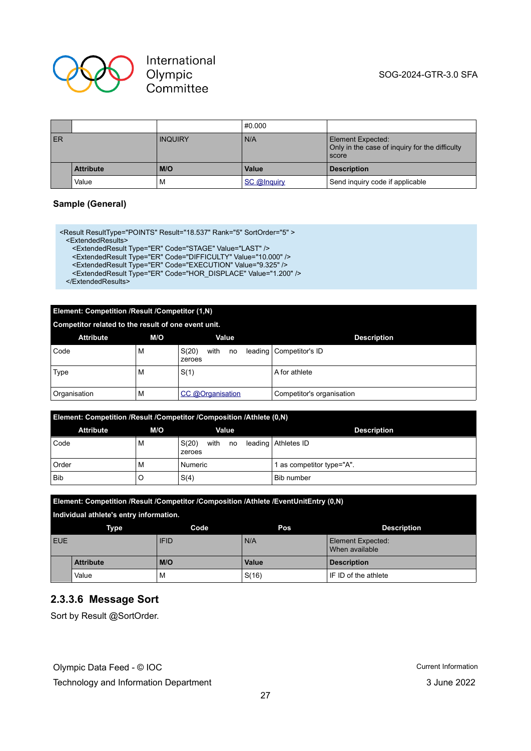

#### SOG-2024-GTR-3.0 SFA

|    |                  |                | #0.000       |                                                                                     |
|----|------------------|----------------|--------------|-------------------------------------------------------------------------------------|
| ER |                  | <b>INQUIRY</b> | N/A          | <b>Element Expected:</b><br>Only in the case of inquiry for the difficulty<br>score |
|    | <b>Attribute</b> | M/O            | <b>Value</b> | <b>Description</b>                                                                  |
|    | Value            | М              | SC @Inquiry  | Send inquiry code if applicable                                                     |

#### **Sample (General)**

<Result ResultType="POINTS" Result="18.537" Rank="5" SortOrder="5" > <ExtendedResults>

- <ExtendedResult Type="ER" Code="STAGE" Value="LAST" />
- <ExtendedResult Type="ER" Code="DIFFICULTY" Value="10.000" />
- <ExtendedResult Type="ER" Code="EXECUTION" Value="9.325" />
- <ExtendedResult Type="ER" Code="HOR\_DISPLACE" Value="1.200" />
- </ExtendedResults>

#### <span id="page-26-3"></span>**Element: Competition /Result /Competitor (1,N)**

| Competitor related to the result of one event unit. |  |
|-----------------------------------------------------|--|

| <b>Attribute</b> | M/O | Value                         | <b>Description</b>        |  |  |
|------------------|-----|-------------------------------|---------------------------|--|--|
| Code             | М   | S(20)<br>with<br>no<br>zeroes | leading   Competitor's ID |  |  |
| Type             | M   | S(1)                          | A for athlete             |  |  |
| Organisation     | M   | CC @Organisation              | Competitor's organisation |  |  |

<span id="page-26-2"></span>

| <b>Element: Competition /Result /Competitor /Composition /Athlete (0,N)</b> |     |                               |                           |  |  |
|-----------------------------------------------------------------------------|-----|-------------------------------|---------------------------|--|--|
| <b>Attribute</b>                                                            | M/O | Value                         | <b>Description</b>        |  |  |
| Code                                                                        | M   | S(20)<br>with<br>no<br>zeroes | leading   Athletes ID     |  |  |
| Order                                                                       | м   | <b>Numeric</b>                | 1 as competitor type="A". |  |  |
| <b>Bib</b>                                                                  |     | S(4)                          | Bib number                |  |  |

<span id="page-26-1"></span>

|            | Element: Competition /Result /Competitor /Composition /Athlete /EventUnitEntry (0,N) |             |       |                                            |  |  |  |  |
|------------|--------------------------------------------------------------------------------------|-------------|-------|--------------------------------------------|--|--|--|--|
|            | Individual athlete's entry information.                                              |             |       |                                            |  |  |  |  |
|            | Pos<br><b>Description</b><br>Code<br>Type                                            |             |       |                                            |  |  |  |  |
| <b>EUE</b> |                                                                                      | <b>IFID</b> | N/A   | <b>Element Expected:</b><br>When available |  |  |  |  |
|            | <b>Attribute</b>                                                                     | M/O         | Value | <b>Description</b>                         |  |  |  |  |
|            | Value                                                                                | M           | S(16) | IF ID of the athlete                       |  |  |  |  |

#### <span id="page-26-0"></span>**2.3.3.6 Message Sort**

Sort by Result @SortOrder.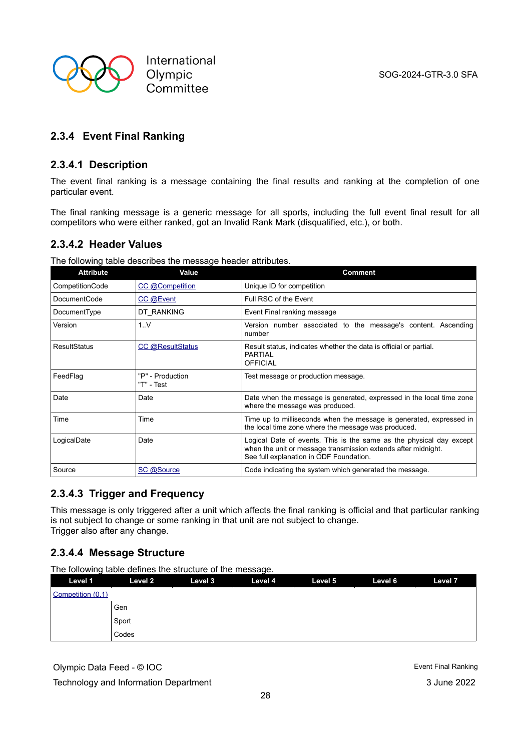## <span id="page-27-4"></span>**2.3.4 Event Final Ranking**

#### <span id="page-27-3"></span>**2.3.4.1 Description**

The event final ranking is a message containing the final results and ranking at the completion of one particular event.

The final ranking message is a generic message for all sports, including the full event final result for all competitors who were either ranked, got an Invalid Rank Mark (disqualified, etc.), or both.

#### <span id="page-27-2"></span>**2.3.4.2 Header Values**

The following table describes the message header attributes.

| <b>Attribute</b>    | Value                          | <b>Comment</b>                                                                                                                                                                  |  |  |  |
|---------------------|--------------------------------|---------------------------------------------------------------------------------------------------------------------------------------------------------------------------------|--|--|--|
| CompetitionCode     | CC @Competition                | Unique ID for competition                                                                                                                                                       |  |  |  |
| DocumentCode        | CC @Event                      | Full RSC of the Event                                                                                                                                                           |  |  |  |
| DocumentType        | DT RANKING                     | Event Final ranking message                                                                                                                                                     |  |  |  |
| Version             | 1.1V                           | Version number associated to the message's content. Ascending<br>number                                                                                                         |  |  |  |
| <b>ResultStatus</b> | CC @ResultStatus               | Result status, indicates whether the data is official or partial.<br><b>PARTIAL</b><br><b>OFFICIAL</b>                                                                          |  |  |  |
| FeedFlag            | "P" - Production<br>"T" - Test | Test message or production message.                                                                                                                                             |  |  |  |
| Date                | Date                           | Date when the message is generated, expressed in the local time zone<br>where the message was produced.                                                                         |  |  |  |
| Time                | Time                           | Time up to milliseconds when the message is generated, expressed in<br>the local time zone where the message was produced.                                                      |  |  |  |
| LogicalDate         | Date                           | Logical Date of events. This is the same as the physical day except<br>when the unit or message transmission extends after midnight.<br>See full explanation in ODF Foundation. |  |  |  |
| Source              | SC @Source                     | Code indicating the system which generated the message.                                                                                                                         |  |  |  |

#### <span id="page-27-1"></span>**2.3.4.3 Trigger and Frequency**

This message is only triggered after a unit which affects the final ranking is official and that particular ranking is not subject to change or some ranking in that unit are not subject to change. Trigger also after any change.

#### <span id="page-27-0"></span>**2.3.4.4 Message Structure**

The following table defines the structure of the message.

| $\sim$<br>Level 1 | Level 2 | Level 3 | Level 4 | Level 5 | Level 6 | Level 7 |
|-------------------|---------|---------|---------|---------|---------|---------|
| Competition (0,1) |         |         |         |         |         |         |
|                   | Gen     |         |         |         |         |         |
|                   | Sport   |         |         |         |         |         |
|                   | Codes   |         |         |         |         |         |

Olympic Data Feed - © IOC **Example 2018** Event Final Ranking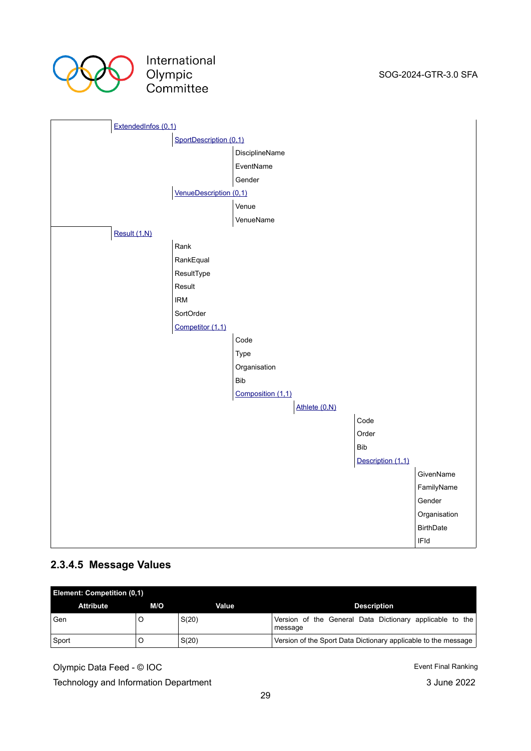



## <span id="page-28-0"></span>**2.3.4.5 Message Values**

<span id="page-28-1"></span>

| <b>Element: Competition (0.1)</b> |     |       |                                                                     |  |  |
|-----------------------------------|-----|-------|---------------------------------------------------------------------|--|--|
| <b>Attribute</b>                  | M/O | Value | <b>Description</b>                                                  |  |  |
| Gen                               |     | S(20) | Version of the General Data Dictionary applicable to the<br>message |  |  |
| Sport                             |     | S(20) | Version of the Sport Data Dictionary applicable to the message      |  |  |

Olympic Data Feed - © IOC **Example 2018** Event Final Ranking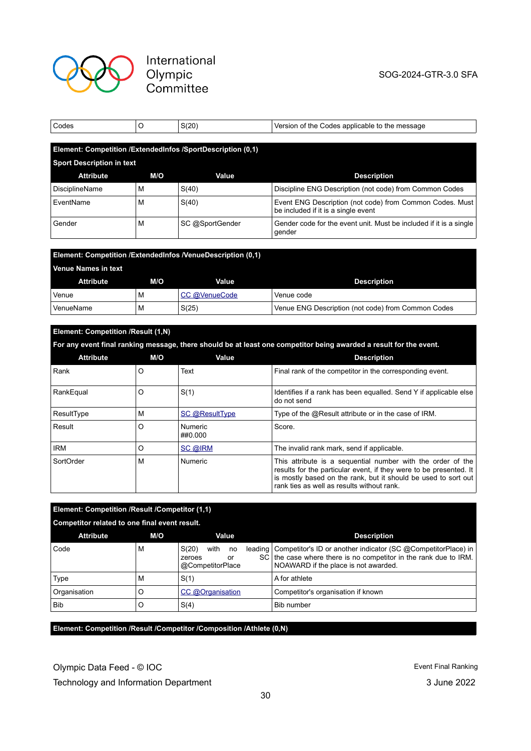

#### SOG-2024-GTR-3.0 SFA

<span id="page-29-4"></span>

| Codes                                                       | O                                | S(20)           | Version of the Codes applicable to the message                                                  |  |  |  |  |  |
|-------------------------------------------------------------|----------------------------------|-----------------|-------------------------------------------------------------------------------------------------|--|--|--|--|--|
|                                                             |                                  |                 |                                                                                                 |  |  |  |  |  |
| Element: Competition /ExtendedInfos /SportDescription (0,1) |                                  |                 |                                                                                                 |  |  |  |  |  |
|                                                             | <b>Sport Description in text</b> |                 |                                                                                                 |  |  |  |  |  |
| <b>Attribute</b>                                            | M/O                              | Value           | <b>Description</b>                                                                              |  |  |  |  |  |
| <b>DisciplineName</b>                                       | м                                | S(40)           | Discipline ENG Description (not code) from Common Codes                                         |  |  |  |  |  |
| EventName                                                   | м                                | S(40)           | Event ENG Description (not code) from Common Codes. Must<br>be included if it is a single event |  |  |  |  |  |
| Gender                                                      | м                                | SC @SportGender | Gender code for the event unit. Must be included if it is a single<br>gender                    |  |  |  |  |  |

<span id="page-29-3"></span>

| <b>Element: Competition /ExtendedInfos /VenueDescription (0,1)</b> |     |               |                                                    |  |  |  |
|--------------------------------------------------------------------|-----|---------------|----------------------------------------------------|--|--|--|
| Venue Names in text                                                |     |               |                                                    |  |  |  |
| <b>Attribute</b>                                                   | M/O | Value         | <b>Description</b>                                 |  |  |  |
| M<br>Venue                                                         |     | CC @VenueCode | Venue code                                         |  |  |  |
| S(25)<br>VenueName<br>M                                            |     |               | Venue ENG Description (not code) from Common Codes |  |  |  |

<span id="page-29-2"></span>

| Element: Competition /Result (1,N) |     |                           |                                                                                                                                                                                                                                                   |  |  |
|------------------------------------|-----|---------------------------|---------------------------------------------------------------------------------------------------------------------------------------------------------------------------------------------------------------------------------------------------|--|--|
|                                    |     |                           | For any event final ranking message, there should be at least one competitor being awarded a result for the event.                                                                                                                                |  |  |
| <b>Attribute</b>                   | M/O | Value                     | <b>Description</b>                                                                                                                                                                                                                                |  |  |
| Rank                               | O   | Text                      | Final rank of the competitor in the corresponding event.                                                                                                                                                                                          |  |  |
| RankEqual                          | O   | S(1)                      | Identifies if a rank has been equalled. Send Y if applicable else<br>do not send                                                                                                                                                                  |  |  |
| ResultType                         | М   | <b>SC @ResultType</b>     | Type of the @Result attribute or in the case of IRM.                                                                                                                                                                                              |  |  |
| Result                             | O   | <b>Numeric</b><br>##0.000 | Score.                                                                                                                                                                                                                                            |  |  |
| <b>IRM</b>                         | O   | SC @IRM                   | The invalid rank mark, send if applicable.                                                                                                                                                                                                        |  |  |
| SortOrder                          | M   | <b>Numeric</b>            | This attribute is a sequential number with the order of the<br>results for the particular event, if they were to be presented. It<br>is mostly based on the rank, but it should be used to sort out<br>rank ties as well as results without rank. |  |  |

<span id="page-29-1"></span>

| <b>Element: Competition / Result / Competitor (1,1)</b> |                                               |                                                         |                                                                                                                                                                                   |  |  |  |  |  |
|---------------------------------------------------------|-----------------------------------------------|---------------------------------------------------------|-----------------------------------------------------------------------------------------------------------------------------------------------------------------------------------|--|--|--|--|--|
|                                                         | Competitor related to one final event result. |                                                         |                                                                                                                                                                                   |  |  |  |  |  |
| <b>Attribute</b>                                        | M/O                                           | Value                                                   | <b>Description</b>                                                                                                                                                                |  |  |  |  |  |
| Code                                                    | м                                             | S(20)<br>with<br>no<br>zeroes<br>or<br>@CompetitorPlace | leading Competitor's ID or another indicator (SC @CompetitorPlace) in<br>SC the case where there is no competitor in the rank due to IRM.<br>NOAWARD if the place is not awarded. |  |  |  |  |  |
| Type                                                    | м                                             | S(1)                                                    | A for athlete                                                                                                                                                                     |  |  |  |  |  |
| Organisation                                            | Ο                                             | CC @Organisation                                        | Competitor's organisation if known                                                                                                                                                |  |  |  |  |  |
| <b>Bib</b>                                              | O                                             | S(4)                                                    | Bib number                                                                                                                                                                        |  |  |  |  |  |

<span id="page-29-0"></span>**Element: Competition /Result /Competitor /Composition /Athlete (0,N)**

Olympic Data Feed - © IOC **Example 2018** Event Final Ranking Technology and Information Department 3 June 2022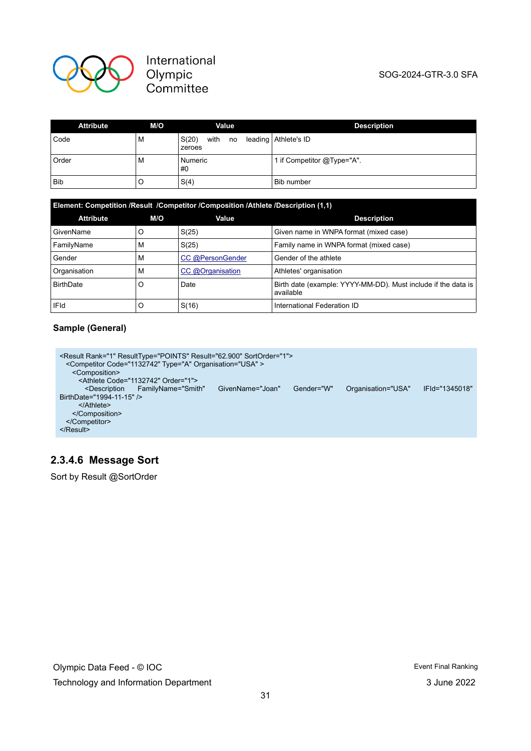

| <b>Attribute</b> | M/O | <b>Value</b>                  | <b>Description</b>         |
|------------------|-----|-------------------------------|----------------------------|
| Code             | M   | S(20)<br>with<br>no<br>zeroes | leading   Athlete's ID     |
| Order            | M   | Numeric<br>#0                 | 1 if Competitor @Type="A". |
| <b>Bib</b>       | O   | S(4)                          | Bib number                 |

<span id="page-30-1"></span>

| Element: Competition /Result /Competitor /Composition /Athlete /Description (1,1) |     |                  |                                                                            |  |  |  |
|-----------------------------------------------------------------------------------|-----|------------------|----------------------------------------------------------------------------|--|--|--|
| <b>Attribute</b>                                                                  | M/O | Value            | <b>Description</b>                                                         |  |  |  |
| GivenName                                                                         | O   | S(25)            | Given name in WNPA format (mixed case)                                     |  |  |  |
| FamilyName                                                                        | М   | S(25)            | Family name in WNPA format (mixed case)                                    |  |  |  |
| Gender                                                                            | M   | CC @PersonGender | Gender of the athlete                                                      |  |  |  |
| Organisation                                                                      | М   | CC @Organisation | Athletes' organisation                                                     |  |  |  |
| <b>BirthDate</b>                                                                  | O   | Date             | Birth date (example: YYYY-MM-DD). Must include if the data is<br>available |  |  |  |
| <b>IFId</b>                                                                       | O   | S(16)            | International Federation ID                                                |  |  |  |

#### **Sample (General)**

```
<Result Rank="1" ResultType="POINTS" Result="62.900" SortOrder="1">
  <Competitor Code="1132742" Type="A" Organisation="USA" >
   <Composition>
     <Athlete Code="1132742" Order="1">
      <Description FamilyName="Smith" GivenName="Joan" Gender="W" Organisation="USA" IFId="1345018"
BirthDate="1994-11-15" />
     </Athlete>
   </Composition>
 </Competitor>
</Result>
```
## <span id="page-30-0"></span>**2.3.4.6 Message Sort**

Sort by Result @SortOrder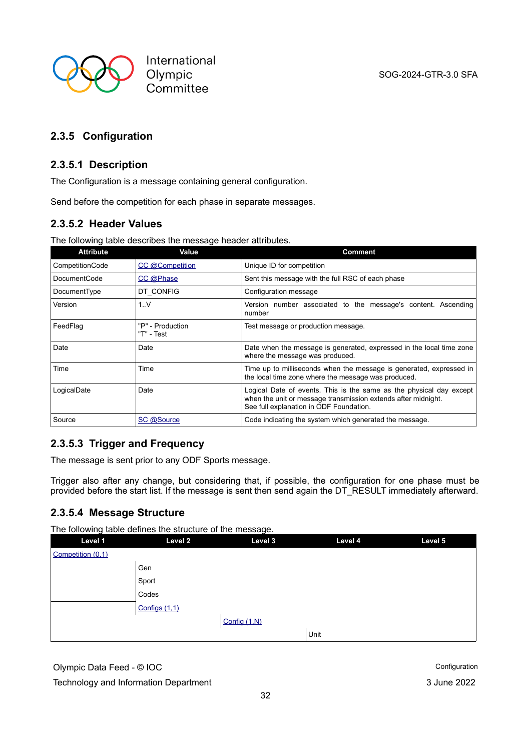

## <span id="page-31-4"></span>**2.3.5 Configuration**

#### <span id="page-31-3"></span>**2.3.5.1 Description**

The Configuration is a message containing general configuration.

Send before the competition for each phase in separate messages.

## <span id="page-31-2"></span>**2.3.5.2 Header Values**

The following table describes the message header attributes.

| <b>Attribute</b> | Value                          | <b>Comment</b>                                                                                                                                                                  |  |  |
|------------------|--------------------------------|---------------------------------------------------------------------------------------------------------------------------------------------------------------------------------|--|--|
| CompetitionCode  | CC @Competition                | Unique ID for competition                                                                                                                                                       |  |  |
| DocumentCode     | CC @Phase                      | Sent this message with the full RSC of each phase                                                                                                                               |  |  |
| DocumentType     | DT CONFIG                      | Configuration message                                                                                                                                                           |  |  |
| Version          | 1.1V                           | Version number associated to the message's content. Ascending<br>number                                                                                                         |  |  |
| FeedFlag         | "P" - Production<br>"T" - Test | Test message or production message.                                                                                                                                             |  |  |
| Date             | Date                           | Date when the message is generated, expressed in the local time zone<br>where the message was produced.                                                                         |  |  |
| Time             | Time                           | Time up to milliseconds when the message is generated, expressed in<br>the local time zone where the message was produced.                                                      |  |  |
| LogicalDate      | Date                           | Logical Date of events. This is the same as the physical day except<br>when the unit or message transmission extends after midnight.<br>See full explanation in ODF Foundation. |  |  |
| Source           | <b>SC @Source</b>              | Code indicating the system which generated the message.                                                                                                                         |  |  |

#### <span id="page-31-1"></span>**2.3.5.3 Trigger and Frequency**

The message is sent prior to any ODF Sports message.

Trigger also after any change, but considering that, if possible, the configuration for one phase must be provided before the start list. If the message is sent then send again the DT\_RESULT immediately afterward.

#### <span id="page-31-0"></span>**2.3.5.4 Message Structure**

The following table defines the structure of the message.

| Level 1           | Level 2         | Level 3      | Level 4 | Level 5 |
|-------------------|-----------------|--------------|---------|---------|
| Competition (0,1) |                 |              |         |         |
|                   | Gen             |              |         |         |
|                   | Sport           |              |         |         |
|                   | Codes           |              |         |         |
|                   | Configs $(1,1)$ |              |         |         |
|                   |                 | Config (1,N) |         |         |
|                   |                 |              | Unit    |         |

Olympic Data Feed - © IOC Configuration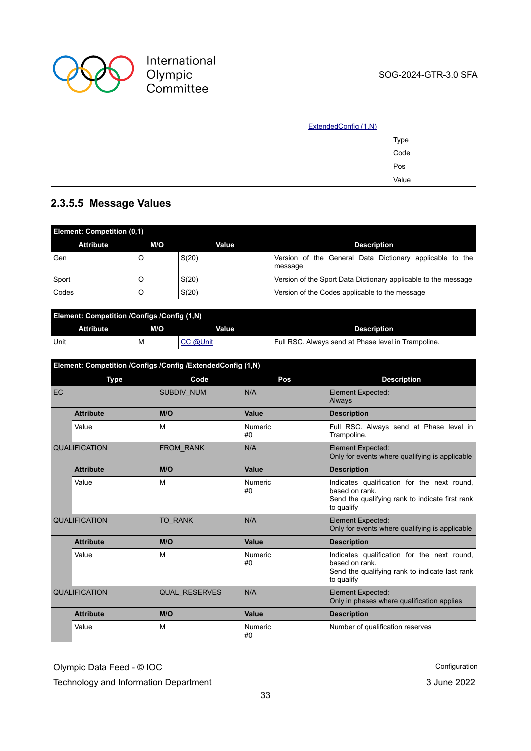

#### [ExtendedConfig \(1,N\)](#page-32-3)

Type Code Pos Value

## <span id="page-32-0"></span>**2.3.5.5 Message Values**

<span id="page-32-2"></span>

| <b>Element: Competition (0,1)</b> |     |       |                                                                     |
|-----------------------------------|-----|-------|---------------------------------------------------------------------|
| <b>Attribute</b>                  | M/O | Value | <b>Description</b>                                                  |
| Gen                               |     | S(20) | Version of the General Data Dictionary applicable to the<br>message |
| Sport                             |     | S(20) | Version of the Sport Data Dictionary applicable to the message      |
| Codes                             |     | S(20) | Version of the Codes applicable to the message                      |

<span id="page-32-1"></span>

| <b>Element: Competition /Configs /Config (1,N)</b> |     |          |                                                     |
|----------------------------------------------------|-----|----------|-----------------------------------------------------|
| <b>Attribute</b>                                   | M/O | Value    | <b>Description</b>                                  |
| Unit                                               | М   | CC @Unit | Full RSC, Always send at Phase level in Trampoline. |

<span id="page-32-3"></span>

| Element: Competition /Configs /Config /ExtendedConfig (1,N) |                      |                      |               |                                                                                                                                |
|-------------------------------------------------------------|----------------------|----------------------|---------------|--------------------------------------------------------------------------------------------------------------------------------|
|                                                             | <b>Type</b>          | Code                 | Pos           | <b>Description</b>                                                                                                             |
| EC                                                          |                      | <b>SUBDIV NUM</b>    | N/A           | <b>Element Expected:</b><br>Always                                                                                             |
|                                                             | <b>Attribute</b>     | M/O                  | Value         | <b>Description</b>                                                                                                             |
|                                                             | Value                | M                    | Numeric<br>#0 | Full RSC. Always send at Phase level in<br>Trampoline.                                                                         |
|                                                             | <b>QUALIFICATION</b> | <b>FROM RANK</b>     | N/A           | <b>Element Expected:</b><br>Only for events where qualifying is applicable                                                     |
|                                                             | <b>Attribute</b>     | M/O                  | <b>Value</b>  | <b>Description</b>                                                                                                             |
|                                                             | Value                | M                    | Numeric<br>#0 | Indicates qualification for the next round,<br>based on rank.<br>Send the qualifying rank to indicate first rank<br>to qualify |
| <b>QUALIFICATION</b>                                        |                      | <b>TO RANK</b>       | N/A           | <b>Element Expected:</b><br>Only for events where qualifying is applicable                                                     |
|                                                             | <b>Attribute</b>     | M/O                  | Value         | <b>Description</b>                                                                                                             |
|                                                             | Value                | M                    | Numeric<br>#0 | Indicates qualification for the next round,<br>based on rank.<br>Send the qualifying rank to indicate last rank<br>to qualify  |
|                                                             | <b>QUALIFICATION</b> | <b>QUAL RESERVES</b> | N/A           | <b>Element Expected:</b><br>Only in phases where qualification applies                                                         |
|                                                             | <b>Attribute</b>     | M/O                  | Value         | <b>Description</b>                                                                                                             |
|                                                             | Value                | M                    | Numeric<br>#0 | Number of qualification reserves                                                                                               |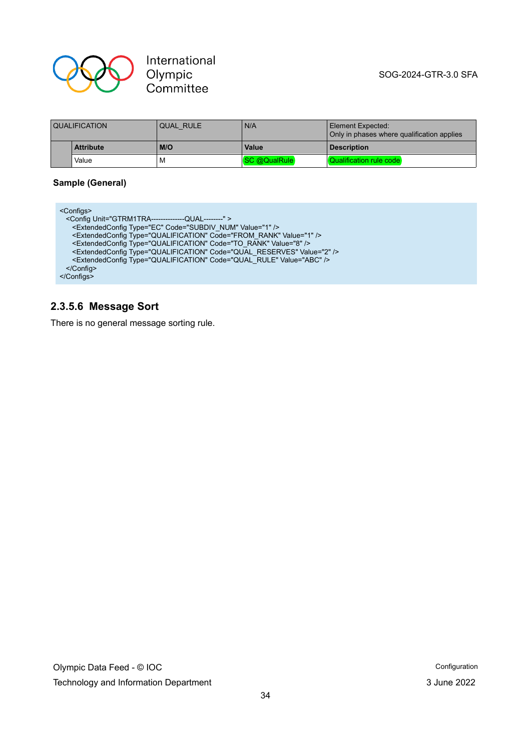

| <b>QUALIFICATION</b> |                  | QUAL RULE | N/A                 | Element Expected:<br>Only in phases where qualification applies |
|----------------------|------------------|-----------|---------------------|-----------------------------------------------------------------|
|                      | <b>Attribute</b> | M/O       | <b>Value</b>        | <b>Description</b>                                              |
|                      | Value            | M         | <b>SC @QualRule</b> | <b>Qualification rule code</b>                                  |

## **Sample (General)**

| <configs></configs>                                                                   |  |
|---------------------------------------------------------------------------------------|--|
| <config unit="GTRM1TRA---------------QUAL--------"></config>                          |  |
| <extendedconfig code="SUBDIV NUM" type="EC" value="1"></extendedconfig>               |  |
| <extendedconfig code="FROM RANK" type="QUALIFICATION" value="1"></extendedconfig>     |  |
| <extendedconfig code="TO RANK" type="QUALIFICATION" value="8"></extendedconfig>       |  |
| <extendedconfig code="QUAL RESERVES" type="QUALIFICATION" value="2"></extendedconfig> |  |
| <extendedconfig code="QUAL RULE" type="QUALIFICATION" value="ABC"></extendedconfig>   |  |
| $<$ /Config>                                                                          |  |
|                                                                                       |  |

## <span id="page-33-0"></span>**2.3.5.6 Message Sort**

There is no general message sorting rule.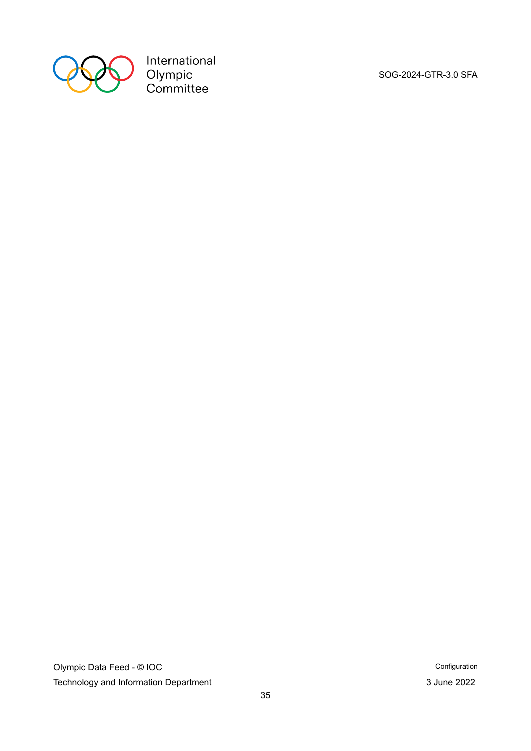

SOG-2024-GTR-3.0 SFA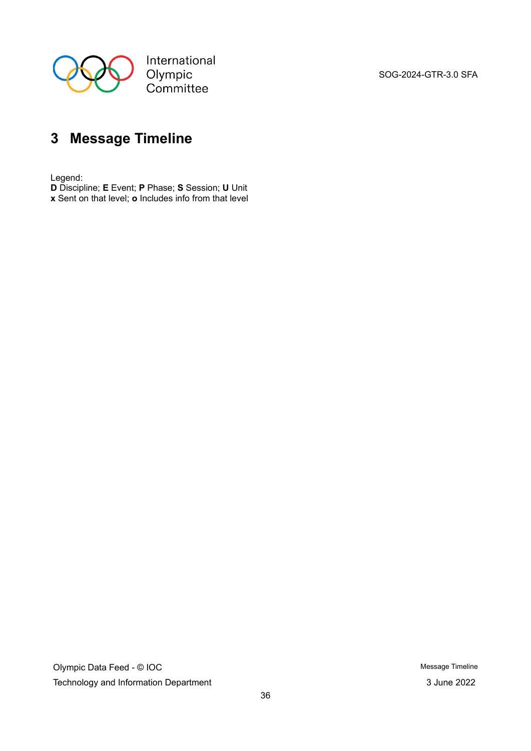

# <span id="page-35-0"></span>**3 Message Timeline**

Legend:

**D** Discipline; **E** Event; **P** Phase; **S** Session; **U** Unit **x** Sent on that level; **o** Includes info from that level